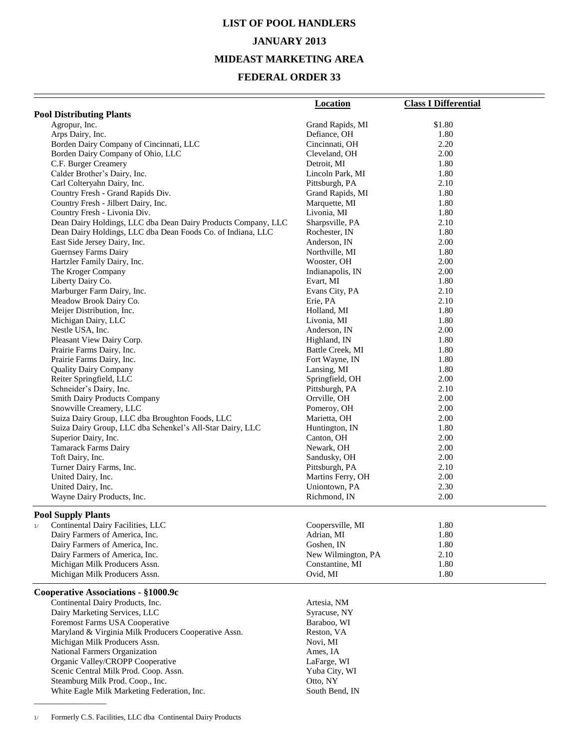# **LIST OF POOL HANDLERS JANUARY 2013 MIDEAST MARKETING AREA**

#### **FEDERAL ORDER 33**

| <b>Pool Distributing Plants</b><br>Grand Rapids, MI<br>\$1.80<br>Agropur, Inc.<br>Arps Dairy, Inc.<br>Defiance, OH<br>1.80<br>Borden Dairy Company of Cincinnati, LLC<br>Cincinnati, OH<br>2.20<br>Borden Dairy Company of Ohio, LLC<br>Cleveland, OH<br>2.00<br>C.F. Burger Creamery<br>Detroit, MI<br>1.80<br>Calder Brother's Dairy, Inc.<br>1.80<br>Lincoln Park, MI<br>Carl Colteryahn Dairy, Inc.<br>2.10<br>Pittsburgh, PA<br>Country Fresh - Grand Rapids Div.<br>Grand Rapids, MI<br>1.80<br>Country Fresh - Jilbert Dairy, Inc.<br>Marquette, MI<br>1.80<br>Country Fresh - Livonia Div.<br>Livonia, MI<br>1.80<br>Dean Dairy Holdings, LLC dba Dean Dairy Products Company, LLC<br>Sharpsville, PA<br>2.10<br>Dean Dairy Holdings, LLC dba Dean Foods Co. of Indiana, LLC<br>1.80<br>Rochester, IN<br>East Side Jersey Dairy, Inc.<br>Anderson, IN<br>2.00<br><b>Guernsey Farms Dairy</b><br>Northville, MI<br>1.80<br>Hartzler Family Dairy, Inc.<br>Wooster, OH<br>2.00<br>2.00<br>The Kroger Company<br>Indianapolis, IN<br>Liberty Dairy Co.<br>Evart, MI<br>1.80<br>Marburger Farm Dairy, Inc.<br>Evans City, PA<br>2.10<br>Meadow Brook Dairy Co.<br>2.10<br>Erie, PA<br>Meijer Distribution, Inc.<br>Holland, MI<br>1.80<br>1.80<br>Michigan Dairy, LLC<br>Livonia, MI<br>Nestle USA, Inc.<br>2.00<br>Anderson, IN<br>Pleasant View Dairy Corp.<br>Highland, IN<br>1.80<br>Battle Creek, MI<br>1.80<br>Prairie Farms Dairy, Inc.<br>Prairie Farms Dairy, Inc.<br>1.80<br>Fort Wayne, IN<br>1.80<br>Lansing, MI<br><b>Quality Dairy Company</b><br>Reiter Springfield, LLC<br>Springfield, OH<br>2.00<br>Schneider's Dairy, Inc.<br>Pittsburgh, PA<br>2.10<br><b>Smith Dairy Products Company</b><br>Orrville, OH<br>2.00<br>Snowville Creamery, LLC<br>Pomeroy, OH<br>2.00<br>Suiza Dairy Group, LLC dba Broughton Foods, LLC<br>Marietta, OH<br>2.00<br>Suiza Dairy Group, LLC dba Schenkel's All-Star Dairy, LLC<br>Huntington, IN<br>1.80<br>Superior Dairy, Inc.<br>Canton, OH<br>2.00<br>Tamarack Farms Dairy<br>Newark, OH<br>2.00<br>Toft Dairy, Inc.<br>2.00<br>Sandusky, OH<br>Turner Dairy Farms, Inc.<br>Pittsburgh, PA<br>2.10<br>United Dairy, Inc.<br>Martins Ferry, OH<br>2.00<br>United Dairy, Inc.<br>Uniontown, PA<br>2.30<br>Wayne Dairy Products, Inc.<br>2.00<br>Richmond, IN<br><b>Pool Supply Plants</b><br>Continental Dairy Facilities, LLC<br>Coopersville, MI<br>1.80<br>1/<br>Dairy Farmers of America, Inc.<br>Adrian, MI<br>1.80<br>Dairy Farmers of America, Inc.<br>Goshen, IN<br>1.80<br>Dairy Farmers of America, Inc.<br>New Wilmington, PA<br>2.10<br>Michigan Milk Producers Assn.<br>Constantine, MI<br>1.80<br>Michigan Milk Producers Assn.<br>Ovid, MI<br>1.80<br>Cooperative Associations - §1000.9c<br>Continental Dairy Products, Inc.<br>Artesia, NM<br>Dairy Marketing Services, LLC<br>Syracuse, NY<br>Foremost Farms USA Cooperative<br>Baraboo, WI<br>Maryland & Virginia Milk Producers Cooperative Assn.<br>Reston, VA<br>Michigan Milk Producers Assn.<br>Novi, MI<br>National Farmers Organization<br>Ames, IA<br>Organic Valley/CROPP Cooperative<br>LaFarge, WI<br>Scenic Central Milk Prod. Coop. Assn.<br>Yuba City, WI | <b>Location</b> | <b>Class I Differential</b> |
|----------------------------------------------------------------------------------------------------------------------------------------------------------------------------------------------------------------------------------------------------------------------------------------------------------------------------------------------------------------------------------------------------------------------------------------------------------------------------------------------------------------------------------------------------------------------------------------------------------------------------------------------------------------------------------------------------------------------------------------------------------------------------------------------------------------------------------------------------------------------------------------------------------------------------------------------------------------------------------------------------------------------------------------------------------------------------------------------------------------------------------------------------------------------------------------------------------------------------------------------------------------------------------------------------------------------------------------------------------------------------------------------------------------------------------------------------------------------------------------------------------------------------------------------------------------------------------------------------------------------------------------------------------------------------------------------------------------------------------------------------------------------------------------------------------------------------------------------------------------------------------------------------------------------------------------------------------------------------------------------------------------------------------------------------------------------------------------------------------------------------------------------------------------------------------------------------------------------------------------------------------------------------------------------------------------------------------------------------------------------------------------------------------------------------------------------------------------------------------------------------------------------------------------------------------------------------------------------------------------------------------------------------------------------------------------------------------------------------------------------------------------------------------------------------------------------------------------------------------------------------------------------------------------------------------------------------------------------------------------------------------------------------------------------------------------------------------------------------------------------------------------------------------------------------------------------------|-----------------|-----------------------------|
|                                                                                                                                                                                                                                                                                                                                                                                                                                                                                                                                                                                                                                                                                                                                                                                                                                                                                                                                                                                                                                                                                                                                                                                                                                                                                                                                                                                                                                                                                                                                                                                                                                                                                                                                                                                                                                                                                                                                                                                                                                                                                                                                                                                                                                                                                                                                                                                                                                                                                                                                                                                                                                                                                                                                                                                                                                                                                                                                                                                                                                                                                                                                                                                                    |                 |                             |
|                                                                                                                                                                                                                                                                                                                                                                                                                                                                                                                                                                                                                                                                                                                                                                                                                                                                                                                                                                                                                                                                                                                                                                                                                                                                                                                                                                                                                                                                                                                                                                                                                                                                                                                                                                                                                                                                                                                                                                                                                                                                                                                                                                                                                                                                                                                                                                                                                                                                                                                                                                                                                                                                                                                                                                                                                                                                                                                                                                                                                                                                                                                                                                                                    |                 |                             |
|                                                                                                                                                                                                                                                                                                                                                                                                                                                                                                                                                                                                                                                                                                                                                                                                                                                                                                                                                                                                                                                                                                                                                                                                                                                                                                                                                                                                                                                                                                                                                                                                                                                                                                                                                                                                                                                                                                                                                                                                                                                                                                                                                                                                                                                                                                                                                                                                                                                                                                                                                                                                                                                                                                                                                                                                                                                                                                                                                                                                                                                                                                                                                                                                    |                 |                             |
|                                                                                                                                                                                                                                                                                                                                                                                                                                                                                                                                                                                                                                                                                                                                                                                                                                                                                                                                                                                                                                                                                                                                                                                                                                                                                                                                                                                                                                                                                                                                                                                                                                                                                                                                                                                                                                                                                                                                                                                                                                                                                                                                                                                                                                                                                                                                                                                                                                                                                                                                                                                                                                                                                                                                                                                                                                                                                                                                                                                                                                                                                                                                                                                                    |                 |                             |
|                                                                                                                                                                                                                                                                                                                                                                                                                                                                                                                                                                                                                                                                                                                                                                                                                                                                                                                                                                                                                                                                                                                                                                                                                                                                                                                                                                                                                                                                                                                                                                                                                                                                                                                                                                                                                                                                                                                                                                                                                                                                                                                                                                                                                                                                                                                                                                                                                                                                                                                                                                                                                                                                                                                                                                                                                                                                                                                                                                                                                                                                                                                                                                                                    |                 |                             |
|                                                                                                                                                                                                                                                                                                                                                                                                                                                                                                                                                                                                                                                                                                                                                                                                                                                                                                                                                                                                                                                                                                                                                                                                                                                                                                                                                                                                                                                                                                                                                                                                                                                                                                                                                                                                                                                                                                                                                                                                                                                                                                                                                                                                                                                                                                                                                                                                                                                                                                                                                                                                                                                                                                                                                                                                                                                                                                                                                                                                                                                                                                                                                                                                    |                 |                             |
|                                                                                                                                                                                                                                                                                                                                                                                                                                                                                                                                                                                                                                                                                                                                                                                                                                                                                                                                                                                                                                                                                                                                                                                                                                                                                                                                                                                                                                                                                                                                                                                                                                                                                                                                                                                                                                                                                                                                                                                                                                                                                                                                                                                                                                                                                                                                                                                                                                                                                                                                                                                                                                                                                                                                                                                                                                                                                                                                                                                                                                                                                                                                                                                                    |                 |                             |
|                                                                                                                                                                                                                                                                                                                                                                                                                                                                                                                                                                                                                                                                                                                                                                                                                                                                                                                                                                                                                                                                                                                                                                                                                                                                                                                                                                                                                                                                                                                                                                                                                                                                                                                                                                                                                                                                                                                                                                                                                                                                                                                                                                                                                                                                                                                                                                                                                                                                                                                                                                                                                                                                                                                                                                                                                                                                                                                                                                                                                                                                                                                                                                                                    |                 |                             |
|                                                                                                                                                                                                                                                                                                                                                                                                                                                                                                                                                                                                                                                                                                                                                                                                                                                                                                                                                                                                                                                                                                                                                                                                                                                                                                                                                                                                                                                                                                                                                                                                                                                                                                                                                                                                                                                                                                                                                                                                                                                                                                                                                                                                                                                                                                                                                                                                                                                                                                                                                                                                                                                                                                                                                                                                                                                                                                                                                                                                                                                                                                                                                                                                    |                 |                             |
|                                                                                                                                                                                                                                                                                                                                                                                                                                                                                                                                                                                                                                                                                                                                                                                                                                                                                                                                                                                                                                                                                                                                                                                                                                                                                                                                                                                                                                                                                                                                                                                                                                                                                                                                                                                                                                                                                                                                                                                                                                                                                                                                                                                                                                                                                                                                                                                                                                                                                                                                                                                                                                                                                                                                                                                                                                                                                                                                                                                                                                                                                                                                                                                                    |                 |                             |
|                                                                                                                                                                                                                                                                                                                                                                                                                                                                                                                                                                                                                                                                                                                                                                                                                                                                                                                                                                                                                                                                                                                                                                                                                                                                                                                                                                                                                                                                                                                                                                                                                                                                                                                                                                                                                                                                                                                                                                                                                                                                                                                                                                                                                                                                                                                                                                                                                                                                                                                                                                                                                                                                                                                                                                                                                                                                                                                                                                                                                                                                                                                                                                                                    |                 |                             |
|                                                                                                                                                                                                                                                                                                                                                                                                                                                                                                                                                                                                                                                                                                                                                                                                                                                                                                                                                                                                                                                                                                                                                                                                                                                                                                                                                                                                                                                                                                                                                                                                                                                                                                                                                                                                                                                                                                                                                                                                                                                                                                                                                                                                                                                                                                                                                                                                                                                                                                                                                                                                                                                                                                                                                                                                                                                                                                                                                                                                                                                                                                                                                                                                    |                 |                             |
|                                                                                                                                                                                                                                                                                                                                                                                                                                                                                                                                                                                                                                                                                                                                                                                                                                                                                                                                                                                                                                                                                                                                                                                                                                                                                                                                                                                                                                                                                                                                                                                                                                                                                                                                                                                                                                                                                                                                                                                                                                                                                                                                                                                                                                                                                                                                                                                                                                                                                                                                                                                                                                                                                                                                                                                                                                                                                                                                                                                                                                                                                                                                                                                                    |                 |                             |
|                                                                                                                                                                                                                                                                                                                                                                                                                                                                                                                                                                                                                                                                                                                                                                                                                                                                                                                                                                                                                                                                                                                                                                                                                                                                                                                                                                                                                                                                                                                                                                                                                                                                                                                                                                                                                                                                                                                                                                                                                                                                                                                                                                                                                                                                                                                                                                                                                                                                                                                                                                                                                                                                                                                                                                                                                                                                                                                                                                                                                                                                                                                                                                                                    |                 |                             |
|                                                                                                                                                                                                                                                                                                                                                                                                                                                                                                                                                                                                                                                                                                                                                                                                                                                                                                                                                                                                                                                                                                                                                                                                                                                                                                                                                                                                                                                                                                                                                                                                                                                                                                                                                                                                                                                                                                                                                                                                                                                                                                                                                                                                                                                                                                                                                                                                                                                                                                                                                                                                                                                                                                                                                                                                                                                                                                                                                                                                                                                                                                                                                                                                    |                 |                             |
|                                                                                                                                                                                                                                                                                                                                                                                                                                                                                                                                                                                                                                                                                                                                                                                                                                                                                                                                                                                                                                                                                                                                                                                                                                                                                                                                                                                                                                                                                                                                                                                                                                                                                                                                                                                                                                                                                                                                                                                                                                                                                                                                                                                                                                                                                                                                                                                                                                                                                                                                                                                                                                                                                                                                                                                                                                                                                                                                                                                                                                                                                                                                                                                                    |                 |                             |
|                                                                                                                                                                                                                                                                                                                                                                                                                                                                                                                                                                                                                                                                                                                                                                                                                                                                                                                                                                                                                                                                                                                                                                                                                                                                                                                                                                                                                                                                                                                                                                                                                                                                                                                                                                                                                                                                                                                                                                                                                                                                                                                                                                                                                                                                                                                                                                                                                                                                                                                                                                                                                                                                                                                                                                                                                                                                                                                                                                                                                                                                                                                                                                                                    |                 |                             |
|                                                                                                                                                                                                                                                                                                                                                                                                                                                                                                                                                                                                                                                                                                                                                                                                                                                                                                                                                                                                                                                                                                                                                                                                                                                                                                                                                                                                                                                                                                                                                                                                                                                                                                                                                                                                                                                                                                                                                                                                                                                                                                                                                                                                                                                                                                                                                                                                                                                                                                                                                                                                                                                                                                                                                                                                                                                                                                                                                                                                                                                                                                                                                                                                    |                 |                             |
|                                                                                                                                                                                                                                                                                                                                                                                                                                                                                                                                                                                                                                                                                                                                                                                                                                                                                                                                                                                                                                                                                                                                                                                                                                                                                                                                                                                                                                                                                                                                                                                                                                                                                                                                                                                                                                                                                                                                                                                                                                                                                                                                                                                                                                                                                                                                                                                                                                                                                                                                                                                                                                                                                                                                                                                                                                                                                                                                                                                                                                                                                                                                                                                                    |                 |                             |
|                                                                                                                                                                                                                                                                                                                                                                                                                                                                                                                                                                                                                                                                                                                                                                                                                                                                                                                                                                                                                                                                                                                                                                                                                                                                                                                                                                                                                                                                                                                                                                                                                                                                                                                                                                                                                                                                                                                                                                                                                                                                                                                                                                                                                                                                                                                                                                                                                                                                                                                                                                                                                                                                                                                                                                                                                                                                                                                                                                                                                                                                                                                                                                                                    |                 |                             |
|                                                                                                                                                                                                                                                                                                                                                                                                                                                                                                                                                                                                                                                                                                                                                                                                                                                                                                                                                                                                                                                                                                                                                                                                                                                                                                                                                                                                                                                                                                                                                                                                                                                                                                                                                                                                                                                                                                                                                                                                                                                                                                                                                                                                                                                                                                                                                                                                                                                                                                                                                                                                                                                                                                                                                                                                                                                                                                                                                                                                                                                                                                                                                                                                    |                 |                             |
|                                                                                                                                                                                                                                                                                                                                                                                                                                                                                                                                                                                                                                                                                                                                                                                                                                                                                                                                                                                                                                                                                                                                                                                                                                                                                                                                                                                                                                                                                                                                                                                                                                                                                                                                                                                                                                                                                                                                                                                                                                                                                                                                                                                                                                                                                                                                                                                                                                                                                                                                                                                                                                                                                                                                                                                                                                                                                                                                                                                                                                                                                                                                                                                                    |                 |                             |
|                                                                                                                                                                                                                                                                                                                                                                                                                                                                                                                                                                                                                                                                                                                                                                                                                                                                                                                                                                                                                                                                                                                                                                                                                                                                                                                                                                                                                                                                                                                                                                                                                                                                                                                                                                                                                                                                                                                                                                                                                                                                                                                                                                                                                                                                                                                                                                                                                                                                                                                                                                                                                                                                                                                                                                                                                                                                                                                                                                                                                                                                                                                                                                                                    |                 |                             |
|                                                                                                                                                                                                                                                                                                                                                                                                                                                                                                                                                                                                                                                                                                                                                                                                                                                                                                                                                                                                                                                                                                                                                                                                                                                                                                                                                                                                                                                                                                                                                                                                                                                                                                                                                                                                                                                                                                                                                                                                                                                                                                                                                                                                                                                                                                                                                                                                                                                                                                                                                                                                                                                                                                                                                                                                                                                                                                                                                                                                                                                                                                                                                                                                    |                 |                             |
|                                                                                                                                                                                                                                                                                                                                                                                                                                                                                                                                                                                                                                                                                                                                                                                                                                                                                                                                                                                                                                                                                                                                                                                                                                                                                                                                                                                                                                                                                                                                                                                                                                                                                                                                                                                                                                                                                                                                                                                                                                                                                                                                                                                                                                                                                                                                                                                                                                                                                                                                                                                                                                                                                                                                                                                                                                                                                                                                                                                                                                                                                                                                                                                                    |                 |                             |
|                                                                                                                                                                                                                                                                                                                                                                                                                                                                                                                                                                                                                                                                                                                                                                                                                                                                                                                                                                                                                                                                                                                                                                                                                                                                                                                                                                                                                                                                                                                                                                                                                                                                                                                                                                                                                                                                                                                                                                                                                                                                                                                                                                                                                                                                                                                                                                                                                                                                                                                                                                                                                                                                                                                                                                                                                                                                                                                                                                                                                                                                                                                                                                                                    |                 |                             |
|                                                                                                                                                                                                                                                                                                                                                                                                                                                                                                                                                                                                                                                                                                                                                                                                                                                                                                                                                                                                                                                                                                                                                                                                                                                                                                                                                                                                                                                                                                                                                                                                                                                                                                                                                                                                                                                                                                                                                                                                                                                                                                                                                                                                                                                                                                                                                                                                                                                                                                                                                                                                                                                                                                                                                                                                                                                                                                                                                                                                                                                                                                                                                                                                    |                 |                             |
|                                                                                                                                                                                                                                                                                                                                                                                                                                                                                                                                                                                                                                                                                                                                                                                                                                                                                                                                                                                                                                                                                                                                                                                                                                                                                                                                                                                                                                                                                                                                                                                                                                                                                                                                                                                                                                                                                                                                                                                                                                                                                                                                                                                                                                                                                                                                                                                                                                                                                                                                                                                                                                                                                                                                                                                                                                                                                                                                                                                                                                                                                                                                                                                                    |                 |                             |
|                                                                                                                                                                                                                                                                                                                                                                                                                                                                                                                                                                                                                                                                                                                                                                                                                                                                                                                                                                                                                                                                                                                                                                                                                                                                                                                                                                                                                                                                                                                                                                                                                                                                                                                                                                                                                                                                                                                                                                                                                                                                                                                                                                                                                                                                                                                                                                                                                                                                                                                                                                                                                                                                                                                                                                                                                                                                                                                                                                                                                                                                                                                                                                                                    |                 |                             |
|                                                                                                                                                                                                                                                                                                                                                                                                                                                                                                                                                                                                                                                                                                                                                                                                                                                                                                                                                                                                                                                                                                                                                                                                                                                                                                                                                                                                                                                                                                                                                                                                                                                                                                                                                                                                                                                                                                                                                                                                                                                                                                                                                                                                                                                                                                                                                                                                                                                                                                                                                                                                                                                                                                                                                                                                                                                                                                                                                                                                                                                                                                                                                                                                    |                 |                             |
|                                                                                                                                                                                                                                                                                                                                                                                                                                                                                                                                                                                                                                                                                                                                                                                                                                                                                                                                                                                                                                                                                                                                                                                                                                                                                                                                                                                                                                                                                                                                                                                                                                                                                                                                                                                                                                                                                                                                                                                                                                                                                                                                                                                                                                                                                                                                                                                                                                                                                                                                                                                                                                                                                                                                                                                                                                                                                                                                                                                                                                                                                                                                                                                                    |                 |                             |
|                                                                                                                                                                                                                                                                                                                                                                                                                                                                                                                                                                                                                                                                                                                                                                                                                                                                                                                                                                                                                                                                                                                                                                                                                                                                                                                                                                                                                                                                                                                                                                                                                                                                                                                                                                                                                                                                                                                                                                                                                                                                                                                                                                                                                                                                                                                                                                                                                                                                                                                                                                                                                                                                                                                                                                                                                                                                                                                                                                                                                                                                                                                                                                                                    |                 |                             |
|                                                                                                                                                                                                                                                                                                                                                                                                                                                                                                                                                                                                                                                                                                                                                                                                                                                                                                                                                                                                                                                                                                                                                                                                                                                                                                                                                                                                                                                                                                                                                                                                                                                                                                                                                                                                                                                                                                                                                                                                                                                                                                                                                                                                                                                                                                                                                                                                                                                                                                                                                                                                                                                                                                                                                                                                                                                                                                                                                                                                                                                                                                                                                                                                    |                 |                             |
|                                                                                                                                                                                                                                                                                                                                                                                                                                                                                                                                                                                                                                                                                                                                                                                                                                                                                                                                                                                                                                                                                                                                                                                                                                                                                                                                                                                                                                                                                                                                                                                                                                                                                                                                                                                                                                                                                                                                                                                                                                                                                                                                                                                                                                                                                                                                                                                                                                                                                                                                                                                                                                                                                                                                                                                                                                                                                                                                                                                                                                                                                                                                                                                                    |                 |                             |
|                                                                                                                                                                                                                                                                                                                                                                                                                                                                                                                                                                                                                                                                                                                                                                                                                                                                                                                                                                                                                                                                                                                                                                                                                                                                                                                                                                                                                                                                                                                                                                                                                                                                                                                                                                                                                                                                                                                                                                                                                                                                                                                                                                                                                                                                                                                                                                                                                                                                                                                                                                                                                                                                                                                                                                                                                                                                                                                                                                                                                                                                                                                                                                                                    |                 |                             |
|                                                                                                                                                                                                                                                                                                                                                                                                                                                                                                                                                                                                                                                                                                                                                                                                                                                                                                                                                                                                                                                                                                                                                                                                                                                                                                                                                                                                                                                                                                                                                                                                                                                                                                                                                                                                                                                                                                                                                                                                                                                                                                                                                                                                                                                                                                                                                                                                                                                                                                                                                                                                                                                                                                                                                                                                                                                                                                                                                                                                                                                                                                                                                                                                    |                 |                             |
|                                                                                                                                                                                                                                                                                                                                                                                                                                                                                                                                                                                                                                                                                                                                                                                                                                                                                                                                                                                                                                                                                                                                                                                                                                                                                                                                                                                                                                                                                                                                                                                                                                                                                                                                                                                                                                                                                                                                                                                                                                                                                                                                                                                                                                                                                                                                                                                                                                                                                                                                                                                                                                                                                                                                                                                                                                                                                                                                                                                                                                                                                                                                                                                                    |                 |                             |
|                                                                                                                                                                                                                                                                                                                                                                                                                                                                                                                                                                                                                                                                                                                                                                                                                                                                                                                                                                                                                                                                                                                                                                                                                                                                                                                                                                                                                                                                                                                                                                                                                                                                                                                                                                                                                                                                                                                                                                                                                                                                                                                                                                                                                                                                                                                                                                                                                                                                                                                                                                                                                                                                                                                                                                                                                                                                                                                                                                                                                                                                                                                                                                                                    |                 |                             |
|                                                                                                                                                                                                                                                                                                                                                                                                                                                                                                                                                                                                                                                                                                                                                                                                                                                                                                                                                                                                                                                                                                                                                                                                                                                                                                                                                                                                                                                                                                                                                                                                                                                                                                                                                                                                                                                                                                                                                                                                                                                                                                                                                                                                                                                                                                                                                                                                                                                                                                                                                                                                                                                                                                                                                                                                                                                                                                                                                                                                                                                                                                                                                                                                    |                 |                             |
|                                                                                                                                                                                                                                                                                                                                                                                                                                                                                                                                                                                                                                                                                                                                                                                                                                                                                                                                                                                                                                                                                                                                                                                                                                                                                                                                                                                                                                                                                                                                                                                                                                                                                                                                                                                                                                                                                                                                                                                                                                                                                                                                                                                                                                                                                                                                                                                                                                                                                                                                                                                                                                                                                                                                                                                                                                                                                                                                                                                                                                                                                                                                                                                                    |                 |                             |
|                                                                                                                                                                                                                                                                                                                                                                                                                                                                                                                                                                                                                                                                                                                                                                                                                                                                                                                                                                                                                                                                                                                                                                                                                                                                                                                                                                                                                                                                                                                                                                                                                                                                                                                                                                                                                                                                                                                                                                                                                                                                                                                                                                                                                                                                                                                                                                                                                                                                                                                                                                                                                                                                                                                                                                                                                                                                                                                                                                                                                                                                                                                                                                                                    |                 |                             |
|                                                                                                                                                                                                                                                                                                                                                                                                                                                                                                                                                                                                                                                                                                                                                                                                                                                                                                                                                                                                                                                                                                                                                                                                                                                                                                                                                                                                                                                                                                                                                                                                                                                                                                                                                                                                                                                                                                                                                                                                                                                                                                                                                                                                                                                                                                                                                                                                                                                                                                                                                                                                                                                                                                                                                                                                                                                                                                                                                                                                                                                                                                                                                                                                    |                 |                             |
|                                                                                                                                                                                                                                                                                                                                                                                                                                                                                                                                                                                                                                                                                                                                                                                                                                                                                                                                                                                                                                                                                                                                                                                                                                                                                                                                                                                                                                                                                                                                                                                                                                                                                                                                                                                                                                                                                                                                                                                                                                                                                                                                                                                                                                                                                                                                                                                                                                                                                                                                                                                                                                                                                                                                                                                                                                                                                                                                                                                                                                                                                                                                                                                                    |                 |                             |
|                                                                                                                                                                                                                                                                                                                                                                                                                                                                                                                                                                                                                                                                                                                                                                                                                                                                                                                                                                                                                                                                                                                                                                                                                                                                                                                                                                                                                                                                                                                                                                                                                                                                                                                                                                                                                                                                                                                                                                                                                                                                                                                                                                                                                                                                                                                                                                                                                                                                                                                                                                                                                                                                                                                                                                                                                                                                                                                                                                                                                                                                                                                                                                                                    |                 |                             |
|                                                                                                                                                                                                                                                                                                                                                                                                                                                                                                                                                                                                                                                                                                                                                                                                                                                                                                                                                                                                                                                                                                                                                                                                                                                                                                                                                                                                                                                                                                                                                                                                                                                                                                                                                                                                                                                                                                                                                                                                                                                                                                                                                                                                                                                                                                                                                                                                                                                                                                                                                                                                                                                                                                                                                                                                                                                                                                                                                                                                                                                                                                                                                                                                    |                 |                             |
|                                                                                                                                                                                                                                                                                                                                                                                                                                                                                                                                                                                                                                                                                                                                                                                                                                                                                                                                                                                                                                                                                                                                                                                                                                                                                                                                                                                                                                                                                                                                                                                                                                                                                                                                                                                                                                                                                                                                                                                                                                                                                                                                                                                                                                                                                                                                                                                                                                                                                                                                                                                                                                                                                                                                                                                                                                                                                                                                                                                                                                                                                                                                                                                                    |                 |                             |
|                                                                                                                                                                                                                                                                                                                                                                                                                                                                                                                                                                                                                                                                                                                                                                                                                                                                                                                                                                                                                                                                                                                                                                                                                                                                                                                                                                                                                                                                                                                                                                                                                                                                                                                                                                                                                                                                                                                                                                                                                                                                                                                                                                                                                                                                                                                                                                                                                                                                                                                                                                                                                                                                                                                                                                                                                                                                                                                                                                                                                                                                                                                                                                                                    |                 |                             |
|                                                                                                                                                                                                                                                                                                                                                                                                                                                                                                                                                                                                                                                                                                                                                                                                                                                                                                                                                                                                                                                                                                                                                                                                                                                                                                                                                                                                                                                                                                                                                                                                                                                                                                                                                                                                                                                                                                                                                                                                                                                                                                                                                                                                                                                                                                                                                                                                                                                                                                                                                                                                                                                                                                                                                                                                                                                                                                                                                                                                                                                                                                                                                                                                    |                 |                             |
|                                                                                                                                                                                                                                                                                                                                                                                                                                                                                                                                                                                                                                                                                                                                                                                                                                                                                                                                                                                                                                                                                                                                                                                                                                                                                                                                                                                                                                                                                                                                                                                                                                                                                                                                                                                                                                                                                                                                                                                                                                                                                                                                                                                                                                                                                                                                                                                                                                                                                                                                                                                                                                                                                                                                                                                                                                                                                                                                                                                                                                                                                                                                                                                                    |                 |                             |
|                                                                                                                                                                                                                                                                                                                                                                                                                                                                                                                                                                                                                                                                                                                                                                                                                                                                                                                                                                                                                                                                                                                                                                                                                                                                                                                                                                                                                                                                                                                                                                                                                                                                                                                                                                                                                                                                                                                                                                                                                                                                                                                                                                                                                                                                                                                                                                                                                                                                                                                                                                                                                                                                                                                                                                                                                                                                                                                                                                                                                                                                                                                                                                                                    |                 |                             |
|                                                                                                                                                                                                                                                                                                                                                                                                                                                                                                                                                                                                                                                                                                                                                                                                                                                                                                                                                                                                                                                                                                                                                                                                                                                                                                                                                                                                                                                                                                                                                                                                                                                                                                                                                                                                                                                                                                                                                                                                                                                                                                                                                                                                                                                                                                                                                                                                                                                                                                                                                                                                                                                                                                                                                                                                                                                                                                                                                                                                                                                                                                                                                                                                    |                 |                             |
|                                                                                                                                                                                                                                                                                                                                                                                                                                                                                                                                                                                                                                                                                                                                                                                                                                                                                                                                                                                                                                                                                                                                                                                                                                                                                                                                                                                                                                                                                                                                                                                                                                                                                                                                                                                                                                                                                                                                                                                                                                                                                                                                                                                                                                                                                                                                                                                                                                                                                                                                                                                                                                                                                                                                                                                                                                                                                                                                                                                                                                                                                                                                                                                                    |                 |                             |
|                                                                                                                                                                                                                                                                                                                                                                                                                                                                                                                                                                                                                                                                                                                                                                                                                                                                                                                                                                                                                                                                                                                                                                                                                                                                                                                                                                                                                                                                                                                                                                                                                                                                                                                                                                                                                                                                                                                                                                                                                                                                                                                                                                                                                                                                                                                                                                                                                                                                                                                                                                                                                                                                                                                                                                                                                                                                                                                                                                                                                                                                                                                                                                                                    |                 |                             |
|                                                                                                                                                                                                                                                                                                                                                                                                                                                                                                                                                                                                                                                                                                                                                                                                                                                                                                                                                                                                                                                                                                                                                                                                                                                                                                                                                                                                                                                                                                                                                                                                                                                                                                                                                                                                                                                                                                                                                                                                                                                                                                                                                                                                                                                                                                                                                                                                                                                                                                                                                                                                                                                                                                                                                                                                                                                                                                                                                                                                                                                                                                                                                                                                    |                 |                             |
|                                                                                                                                                                                                                                                                                                                                                                                                                                                                                                                                                                                                                                                                                                                                                                                                                                                                                                                                                                                                                                                                                                                                                                                                                                                                                                                                                                                                                                                                                                                                                                                                                                                                                                                                                                                                                                                                                                                                                                                                                                                                                                                                                                                                                                                                                                                                                                                                                                                                                                                                                                                                                                                                                                                                                                                                                                                                                                                                                                                                                                                                                                                                                                                                    |                 |                             |
|                                                                                                                                                                                                                                                                                                                                                                                                                                                                                                                                                                                                                                                                                                                                                                                                                                                                                                                                                                                                                                                                                                                                                                                                                                                                                                                                                                                                                                                                                                                                                                                                                                                                                                                                                                                                                                                                                                                                                                                                                                                                                                                                                                                                                                                                                                                                                                                                                                                                                                                                                                                                                                                                                                                                                                                                                                                                                                                                                                                                                                                                                                                                                                                                    |                 |                             |

White Eagle Milk Marketing Federation, Inc. South Bend, IN \_\_\_\_\_\_\_\_\_\_\_\_\_\_\_\_\_

1/ Formerly C.S. Facilities, LLC dba Continental Dairy Products

Steamburg Milk Prod. Coop., Inc. 6. The Coop of the Coop of Coop of Coop of Coop of Coop of Coop of Coop of Co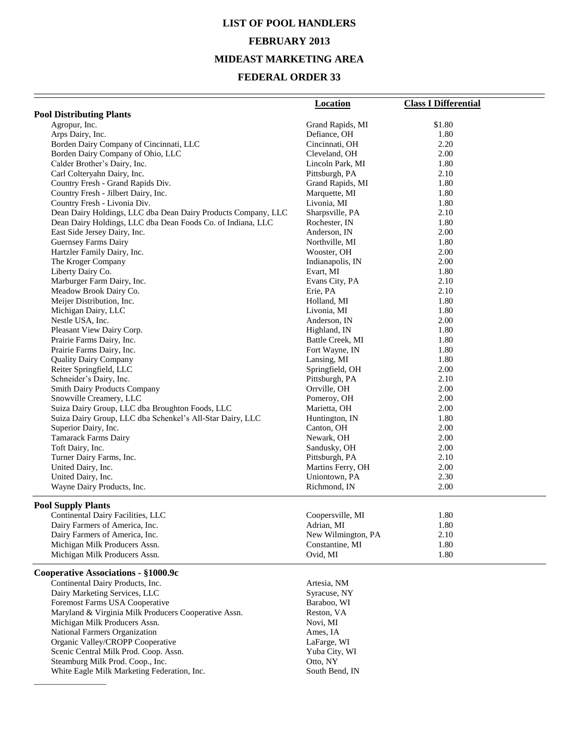# **LIST OF POOL HANDLERS FEBRUARY 2013 MIDEAST MARKETING AREA**

## **FEDERAL ORDER 33**

|                                                               | <b>Location</b>    | <b>Class I Differential</b> |
|---------------------------------------------------------------|--------------------|-----------------------------|
| <b>Pool Distributing Plants</b>                               |                    |                             |
| Agropur, Inc.                                                 | Grand Rapids, MI   | \$1.80                      |
| Arps Dairy, Inc.                                              | Defiance, OH       | 1.80                        |
| Borden Dairy Company of Cincinnati, LLC                       | Cincinnati, OH     | 2.20                        |
| Borden Dairy Company of Ohio, LLC                             | Cleveland, OH      | 2.00                        |
| Calder Brother's Dairy, Inc.                                  | Lincoln Park, MI   | 1.80                        |
| Carl Colteryahn Dairy, Inc.                                   | Pittsburgh, PA     | 2.10                        |
| Country Fresh - Grand Rapids Div.                             | Grand Rapids, MI   | 1.80                        |
| Country Fresh - Jilbert Dairy, Inc.                           | Marquette, MI      | 1.80                        |
| Country Fresh - Livonia Div.                                  | Livonia, MI        | 1.80                        |
| Dean Dairy Holdings, LLC dba Dean Dairy Products Company, LLC | Sharpsville, PA    | 2.10                        |
| Dean Dairy Holdings, LLC dba Dean Foods Co. of Indiana, LLC   | Rochester, IN      | 1.80                        |
| East Side Jersey Dairy, Inc.                                  | Anderson, IN       | 2.00                        |
| Guernsey Farms Dairy                                          | Northville, MI     | 1.80                        |
| Hartzler Family Dairy, Inc.                                   | Wooster, OH        | 2.00                        |
| The Kroger Company                                            | Indianapolis, IN   | 2.00                        |
| Liberty Dairy Co.                                             | Evart, MI          | 1.80                        |
| Marburger Farm Dairy, Inc.                                    | Evans City, PA     | 2.10                        |
| Meadow Brook Dairy Co.                                        | Erie, PA           | 2.10                        |
| Meijer Distribution, Inc.                                     | Holland, MI        | 1.80                        |
| Michigan Dairy, LLC                                           | Livonia, MI        | 1.80                        |
| Nestle USA, Inc.                                              | Anderson, IN       | 2.00                        |
| Pleasant View Dairy Corp.                                     | Highland, IN       | 1.80                        |
| Prairie Farms Dairy, Inc.                                     | Battle Creek, MI   | 1.80                        |
| Prairie Farms Dairy, Inc.                                     | Fort Wayne, IN     | 1.80                        |
| <b>Quality Dairy Company</b>                                  | Lansing, MI        | 1.80                        |
| Reiter Springfield, LLC                                       | Springfield, OH    | 2.00                        |
| Schneider's Dairy, Inc.                                       | Pittsburgh, PA     | 2.10                        |
| <b>Smith Dairy Products Company</b>                           | Orrville, OH       | 2.00                        |
| Snowville Creamery, LLC                                       | Pomeroy, OH        | 2.00                        |
| Suiza Dairy Group, LLC dba Broughton Foods, LLC               | Marietta, OH       | 2.00                        |
| Suiza Dairy Group, LLC dba Schenkel's All-Star Dairy, LLC     | Huntington, IN     | 1.80                        |
| Superior Dairy, Inc.                                          | Canton, OH         | 2.00                        |
| Tamarack Farms Dairy                                          | Newark, OH         | 2.00                        |
| Toft Dairy, Inc.                                              | Sandusky, OH       | 2.00                        |
| Turner Dairy Farms, Inc.                                      | Pittsburgh, PA     | 2.10                        |
| United Dairy, Inc.                                            | Martins Ferry, OH  | 2.00                        |
| United Dairy, Inc.                                            | Uniontown, PA      | 2.30                        |
| Wayne Dairy Products, Inc.                                    | Richmond, IN       | 2.00                        |
| <b>Pool Supply Plants</b>                                     |                    |                             |
| Continental Dairy Facilities, LLC                             | Coopersville, MI   | 1.80                        |
| Dairy Farmers of America, Inc.                                | Adrian, MI         | 1.80                        |
| Dairy Farmers of America, Inc.                                | New Wilmington, PA | 2.10                        |
| Michigan Milk Producers Assn.                                 | Constantine, MI    | 1.80                        |
| Michigan Milk Producers Assn.                                 | Ovid, MI           | 1.80                        |
| Cooperative Associations - §1000.9c                           |                    |                             |
| Continental Dairy Products, Inc.                              | Artesia, NM        |                             |
| Dairy Marketing Services, LLC                                 | Syracuse, NY       |                             |
| Foremost Farms USA Cooperative                                | Baraboo, WI        |                             |
| Maryland & Virginia Milk Producers Cooperative Assn.          | Reston, VA         |                             |
| Michigan Milk Producers Assn.                                 | Novi, MI           |                             |
| National Farmers Organization                                 | Ames, IA           |                             |
| Organic Valley/CROPP Cooperative                              | LaFarge, WI        |                             |
| Scenic Central Milk Prod. Coop. Assn.                         | Yuba City, WI      |                             |
| Steamburg Milk Prod. Coop., Inc.                              | Otto, NY           |                             |
| White Eagle Milk Marketing Federation, Inc.                   | South Bend, IN     |                             |

\_\_\_\_\_\_\_\_\_\_\_\_\_\_\_\_\_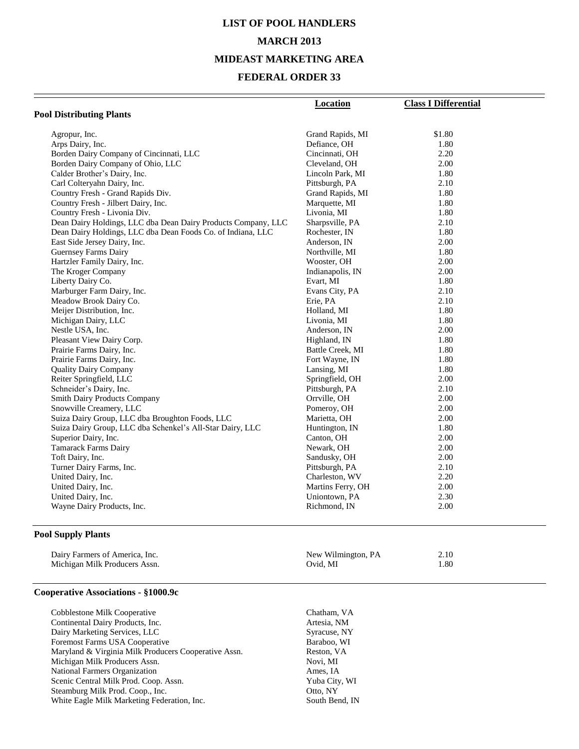# **LIST OF POOL HANDLERS MARCH 2013 MIDEAST MARKETING AREA**

## **FEDERAL ORDER 33**

|                                                               | Location          | <b>Class I Differential</b> |
|---------------------------------------------------------------|-------------------|-----------------------------|
| <b>Pool Distributing Plants</b>                               |                   |                             |
|                                                               |                   |                             |
| Agropur, Inc.                                                 | Grand Rapids, MI  | \$1.80                      |
| Arps Dairy, Inc.                                              | Defiance, OH      | 1.80                        |
| Borden Dairy Company of Cincinnati, LLC                       | Cincinnati, OH    | 2.20                        |
| Borden Dairy Company of Ohio, LLC                             | Cleveland, OH     | 2.00                        |
| Calder Brother's Dairy, Inc.                                  | Lincoln Park, MI  | 1.80                        |
| Carl Colteryahn Dairy, Inc.                                   | Pittsburgh, PA    | 2.10                        |
| Country Fresh - Grand Rapids Div.                             | Grand Rapids, MI  | 1.80                        |
| Country Fresh - Jilbert Dairy, Inc.                           | Marquette, MI     | 1.80                        |
| Country Fresh - Livonia Div.                                  | Livonia, MI       | 1.80                        |
| Dean Dairy Holdings, LLC dba Dean Dairy Products Company, LLC | Sharpsville, PA   | 2.10                        |
| Dean Dairy Holdings, LLC dba Dean Foods Co. of Indiana, LLC   | Rochester, IN     | 1.80                        |
| East Side Jersey Dairy, Inc.                                  | Anderson, IN      | 2.00                        |
| <b>Guernsey Farms Dairy</b>                                   | Northville, MI    | 1.80                        |
| Hartzler Family Dairy, Inc.                                   | Wooster, OH       | 2.00                        |
| The Kroger Company                                            | Indianapolis, IN  | 2.00                        |
| Liberty Dairy Co.                                             | Evart, MI         | 1.80                        |
| Marburger Farm Dairy, Inc.                                    | Evans City, PA    | 2.10                        |
| Meadow Brook Dairy Co.                                        | Erie, PA          | 2.10                        |
| Meijer Distribution, Inc.                                     | Holland, MI       | 1.80                        |
| Michigan Dairy, LLC                                           | Livonia, MI       | 1.80                        |
| Nestle USA, Inc.                                              | Anderson, IN      | 2.00                        |
| Pleasant View Dairy Corp.                                     | Highland, IN      | 1.80                        |
| Prairie Farms Dairy, Inc.                                     | Battle Creek, MI  | 1.80                        |
| Prairie Farms Dairy, Inc.                                     | Fort Wayne, IN    | 1.80                        |
| <b>Quality Dairy Company</b>                                  | Lansing, MI       | 1.80                        |
| Reiter Springfield, LLC                                       | Springfield, OH   | 2.00                        |
| Schneider's Dairy, Inc.                                       | Pittsburgh, PA    | 2.10                        |
| <b>Smith Dairy Products Company</b>                           | Orrville, OH      | 2.00                        |
| Snowville Creamery, LLC                                       | Pomeroy, OH       | 2.00                        |
| Suiza Dairy Group, LLC dba Broughton Foods, LLC               | Marietta, OH      | 2.00                        |
| Suiza Dairy Group, LLC dba Schenkel's All-Star Dairy, LLC     | Huntington, IN    | 1.80                        |
| Superior Dairy, Inc.                                          | Canton, OH        | 2.00                        |
| <b>Tamarack Farms Dairy</b>                                   | Newark, OH        | 2.00                        |
| Toft Dairy, Inc.                                              | Sandusky, OH      | 2.00                        |
| Turner Dairy Farms, Inc.                                      | Pittsburgh, PA    | 2.10                        |
| United Dairy, Inc.                                            | Charleston, WV    | 2.20                        |
| United Dairy, Inc.                                            | Martins Ferry, OH | 2.00                        |
| United Dairy, Inc.                                            | Uniontown, PA     | 2.30                        |
| Wayne Dairy Products, Inc.                                    | Richmond, IN      | 2.00                        |
|                                                               |                   |                             |

## **Pool Supply Plants**

| Dairy Farmers of America, Inc. | New Wilmington, PA | 2.10 |
|--------------------------------|--------------------|------|
| Michigan Milk Producers Assn.  | Ovid. MI           | .80  |

#### **Cooperative Associations - §1000.9c**

| Cobblestone Milk Cooperative                         | Chatham, VA    |
|------------------------------------------------------|----------------|
| Continental Dairy Products, Inc.                     | Artesia, NM    |
| Dairy Marketing Services, LLC                        | Syracuse, NY   |
| Foremost Farms USA Cooperative                       | Baraboo, WI    |
| Maryland & Virginia Milk Producers Cooperative Assn. | Reston, VA     |
| Michigan Milk Producers Assn.                        | Novi, MI       |
| National Farmers Organization                        | Ames, IA       |
| Scenic Central Milk Prod. Coop. Assn.                | Yuba City, WI  |
| Steamburg Milk Prod. Coop., Inc.                     | Otto, NY       |
| White Eagle Milk Marketing Federation, Inc.          | South Bend, IN |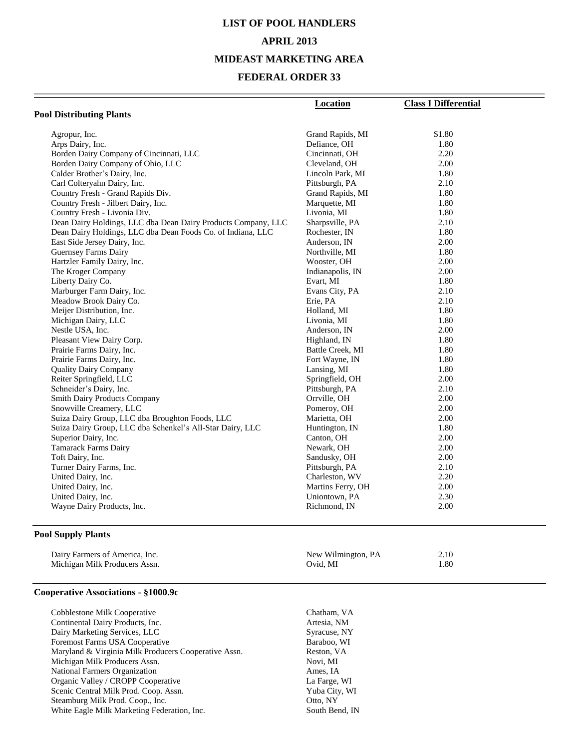## **LIST OF POOL HANDLERS APRIL 2013**

#### **MIDEAST MARKETING AREA**

#### **FEDERAL ORDER 33**

|                                                               | <b>Location</b>   | <b>Class I Differential</b> |
|---------------------------------------------------------------|-------------------|-----------------------------|
| <b>Pool Distributing Plants</b>                               |                   |                             |
| Agropur, Inc.                                                 | Grand Rapids, MI  | \$1.80                      |
| Arps Dairy, Inc.                                              | Defiance, OH      | 1.80                        |
| Borden Dairy Company of Cincinnati, LLC                       | Cincinnati, OH    | 2.20                        |
| Borden Dairy Company of Ohio, LLC                             | Cleveland, OH     | 2.00                        |
| Calder Brother's Dairy, Inc.                                  | Lincoln Park, MI  | 1.80                        |
| Carl Colteryahn Dairy, Inc.                                   | Pittsburgh, PA    | 2.10                        |
| Country Fresh - Grand Rapids Div.                             | Grand Rapids, MI  | 1.80                        |
| Country Fresh - Jilbert Dairy, Inc.                           | Marquette, MI     | 1.80                        |
| Country Fresh - Livonia Div.                                  | Livonia, MI       | 1.80                        |
| Dean Dairy Holdings, LLC dba Dean Dairy Products Company, LLC | Sharpsville, PA   | 2.10                        |
| Dean Dairy Holdings, LLC dba Dean Foods Co. of Indiana, LLC   | Rochester, IN     | 1.80                        |
| East Side Jersey Dairy, Inc.                                  | Anderson, IN      | 2.00                        |
| Guernsey Farms Dairy                                          | Northville, MI    | 1.80                        |
| Hartzler Family Dairy, Inc.                                   | Wooster, OH       | 2.00                        |
| The Kroger Company                                            | Indianapolis, IN  | 2.00                        |
| Liberty Dairy Co.                                             | Evart, MI         | 1.80                        |
| Marburger Farm Dairy, Inc.                                    | Evans City, PA    | 2.10                        |
| Meadow Brook Dairy Co.                                        | Erie, PA          | 2.10                        |
| Meijer Distribution, Inc.                                     | Holland, MI       | 1.80                        |
| Michigan Dairy, LLC                                           | Livonia, MI       | 1.80                        |
| Nestle USA, Inc.                                              | Anderson, IN      | 2.00                        |
| Pleasant View Dairy Corp.                                     | Highland, IN      | 1.80                        |
| Prairie Farms Dairy, Inc.                                     | Battle Creek, MI  | 1.80                        |
| Prairie Farms Dairy, Inc.                                     | Fort Wayne, IN    | 1.80                        |
| <b>Quality Dairy Company</b>                                  | Lansing, MI       | 1.80                        |
| Reiter Springfield, LLC                                       | Springfield, OH   | 2.00                        |
| Schneider's Dairy, Inc.                                       | Pittsburgh, PA    | 2.10                        |
| <b>Smith Dairy Products Company</b>                           | Orrville, OH      | 2.00                        |
| Snowville Creamery, LLC                                       | Pomeroy, OH       | 2.00                        |
| Suiza Dairy Group, LLC dba Broughton Foods, LLC               | Marietta, OH      | 2.00                        |
| Suiza Dairy Group, LLC dba Schenkel's All-Star Dairy, LLC     | Huntington, IN    | 1.80                        |
| Superior Dairy, Inc.                                          | Canton, OH        | 2.00                        |
| <b>Tamarack Farms Dairy</b>                                   | Newark, OH        | 2.00                        |
| Toft Dairy, Inc.                                              | Sandusky, OH      | 2.00                        |
| Turner Dairy Farms, Inc.                                      | Pittsburgh, PA    | 2.10                        |
| United Dairy, Inc.                                            | Charleston, WV    | 2.20                        |
| United Dairy, Inc.                                            | Martins Ferry, OH | 2.00                        |
| United Dairy, Inc.                                            | Uniontown, PA     | 2.30                        |
| Wayne Dairy Products, Inc.                                    | Richmond, IN      | 2.00                        |
|                                                               |                   |                             |

## **Pool Supply Plants**

| Dairy Farmers of America, Inc. | New Wilmington, PA | 2.10 |
|--------------------------------|--------------------|------|
| Michigan Milk Producers Assn.  | Ovid. MI           | .80  |

#### **Cooperative Associations - §1000.9c**

| Cobblestone Milk Cooperative                         | Chatham, VA    |
|------------------------------------------------------|----------------|
| Continental Dairy Products, Inc.                     | Artesia, NM    |
| Dairy Marketing Services, LLC                        | Syracuse, NY   |
| Foremost Farms USA Cooperative                       | Baraboo, WI    |
| Maryland & Virginia Milk Producers Cooperative Assn. | Reston, VA     |
| Michigan Milk Producers Assn.                        | Novi, MI       |
| National Farmers Organization                        | Ames, IA       |
| Organic Valley / CROPP Cooperative                   | La Farge, WI   |
| Scenic Central Milk Prod. Coop. Assn.                | Yuba City, WI  |
| Steamburg Milk Prod. Coop., Inc.                     | Otto, NY       |
| White Eagle Milk Marketing Federation, Inc.          | South Bend, IN |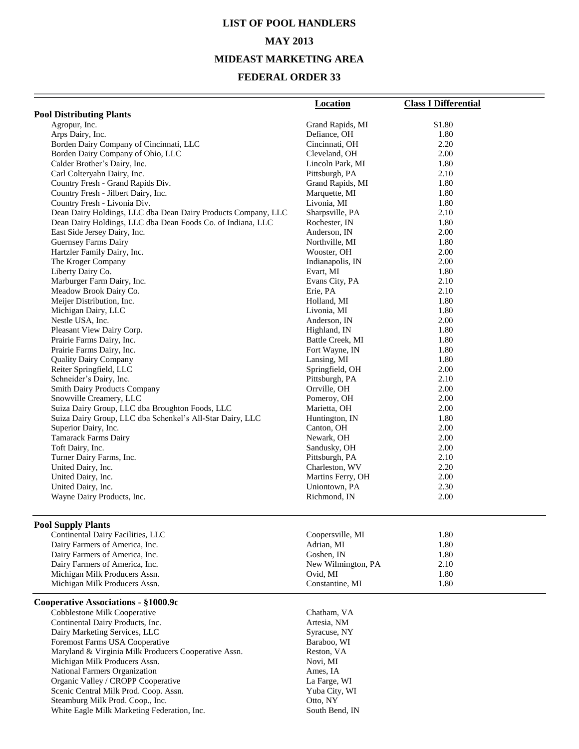# **LIST OF POOL HANDLERS MAY 2013 MIDEAST MARKETING AREA**

### **FEDERAL ORDER 33**

| <b>Pool Distributing Plants</b><br>Agropur, Inc.<br>\$1.80<br>Grand Rapids, MI<br>Arps Dairy, Inc.<br>Defiance, OH<br>1.80<br>Borden Dairy Company of Cincinnati, LLC<br>Cincinnati, OH<br>2.20<br>Borden Dairy Company of Ohio, LLC<br>Cleveland, OH<br>2.00<br>Calder Brother's Dairy, Inc.<br>Lincoln Park, MI<br>1.80<br>Carl Colteryahn Dairy, Inc.<br>Pittsburgh, PA<br>2.10<br>Country Fresh - Grand Rapids Div.<br>Grand Rapids, MI<br>1.80<br>Country Fresh - Jilbert Dairy, Inc.<br>Marquette, MI<br>1.80<br>Country Fresh - Livonia Div.<br>Livonia, MI<br>1.80<br>Dean Dairy Holdings, LLC dba Dean Dairy Products Company, LLC<br>Sharpsville, PA<br>2.10<br>Dean Dairy Holdings, LLC dba Dean Foods Co. of Indiana, LLC<br>Rochester, IN<br>1.80<br>East Side Jersey Dairy, Inc.<br>Anderson, IN<br>2.00<br>Guernsey Farms Dairy<br>Northville, MI<br>1.80<br>Hartzler Family Dairy, Inc.<br>2.00<br>Wooster, OH<br>The Kroger Company<br>Indianapolis, IN<br>2.00<br>Liberty Dairy Co.<br>Evart, MI<br>1.80<br>Marburger Farm Dairy, Inc.<br>Evans City, PA<br>2.10<br>Meadow Brook Dairy Co.<br>Erie, PA<br>2.10<br>Meijer Distribution, Inc.<br>1.80<br>Holland, MI<br>Michigan Dairy, LLC<br>Livonia, MI<br>1.80<br>Nestle USA, Inc.<br>2.00<br>Anderson, IN<br>Pleasant View Dairy Corp.<br>1.80<br>Highland, IN<br>Prairie Farms Dairy, Inc.<br>Battle Creek, MI<br>1.80<br>Prairie Farms Dairy, Inc.<br>Fort Wayne, IN<br>1.80<br><b>Quality Dairy Company</b><br>Lansing, MI<br>1.80<br>Reiter Springfield, LLC<br>2.00<br>Springfield, OH<br>Schneider's Dairy, Inc.<br>Pittsburgh, PA<br>2.10<br><b>Smith Dairy Products Company</b><br>Orrville, OH<br>2.00<br>Snowville Creamery, LLC<br>Pomeroy, OH<br>2.00<br>Suiza Dairy Group, LLC dba Broughton Foods, LLC<br>Marietta, OH<br>2.00<br>Suiza Dairy Group, LLC dba Schenkel's All-Star Dairy, LLC<br>Huntington, IN<br>1.80<br>Superior Dairy, Inc.<br>Canton, OH<br>2.00<br>Tamarack Farms Dairy<br>Newark, OH<br>2.00<br>Toft Dairy, Inc.<br>Sandusky, OH<br>2.00<br>Turner Dairy Farms, Inc.<br>Pittsburgh, PA<br>2.10<br>United Dairy, Inc.<br>Charleston, WV<br>2.20<br>2.00<br>United Dairy, Inc.<br>Martins Ferry, OH<br>Uniontown, PA<br>United Dairy, Inc.<br>2.30<br>Wayne Dairy Products, Inc.<br>Richmond, IN<br>2.00<br>Coopersville, MI<br>Continental Dairy Facilities, LLC<br>1.80<br>Dairy Farmers of America, Inc.<br>Adrian, MI<br>1.80<br>Dairy Farmers of America, Inc.<br>Goshen, IN<br>1.80<br>Dairy Farmers of America, Inc.<br>2.10<br>New Wilmington, PA<br>Michigan Milk Producers Assn.<br>Ovid, MI<br>1.80<br>Michigan Milk Producers Assn.<br>1.80<br>Constantine, MI<br>Cobblestone Milk Cooperative<br>Chatham, VA<br>Continental Dairy Products, Inc.<br>Artesia, NM<br>Dairy Marketing Services, LLC<br>Syracuse, NY<br>Foremost Farms USA Cooperative<br>Baraboo, WI<br>Maryland & Virginia Milk Producers Cooperative Assn.<br>Reston, VA<br>Michigan Milk Producers Assn.<br>Novi, MI<br>National Farmers Organization<br>Ames, IA<br>Organic Valley / CROPP Cooperative<br>La Farge, WI<br>Scenic Central Milk Prod. Coop. Assn.<br>Yuba City, WI |                                     | <b>Location</b> | <b>Class I Differential</b> |  |
|----------------------------------------------------------------------------------------------------------------------------------------------------------------------------------------------------------------------------------------------------------------------------------------------------------------------------------------------------------------------------------------------------------------------------------------------------------------------------------------------------------------------------------------------------------------------------------------------------------------------------------------------------------------------------------------------------------------------------------------------------------------------------------------------------------------------------------------------------------------------------------------------------------------------------------------------------------------------------------------------------------------------------------------------------------------------------------------------------------------------------------------------------------------------------------------------------------------------------------------------------------------------------------------------------------------------------------------------------------------------------------------------------------------------------------------------------------------------------------------------------------------------------------------------------------------------------------------------------------------------------------------------------------------------------------------------------------------------------------------------------------------------------------------------------------------------------------------------------------------------------------------------------------------------------------------------------------------------------------------------------------------------------------------------------------------------------------------------------------------------------------------------------------------------------------------------------------------------------------------------------------------------------------------------------------------------------------------------------------------------------------------------------------------------------------------------------------------------------------------------------------------------------------------------------------------------------------------------------------------------------------------------------------------------------------------------------------------------------------------------------------------------------------------------------------------------------------------------------------------------------------------------------------------------------------------------------------------------------------------------------------------------------------------------------------------------------------------------------------------------------------------------------------------------|-------------------------------------|-----------------|-----------------------------|--|
|                                                                                                                                                                                                                                                                                                                                                                                                                                                                                                                                                                                                                                                                                                                                                                                                                                                                                                                                                                                                                                                                                                                                                                                                                                                                                                                                                                                                                                                                                                                                                                                                                                                                                                                                                                                                                                                                                                                                                                                                                                                                                                                                                                                                                                                                                                                                                                                                                                                                                                                                                                                                                                                                                                                                                                                                                                                                                                                                                                                                                                                                                                                                                                      |                                     |                 |                             |  |
|                                                                                                                                                                                                                                                                                                                                                                                                                                                                                                                                                                                                                                                                                                                                                                                                                                                                                                                                                                                                                                                                                                                                                                                                                                                                                                                                                                                                                                                                                                                                                                                                                                                                                                                                                                                                                                                                                                                                                                                                                                                                                                                                                                                                                                                                                                                                                                                                                                                                                                                                                                                                                                                                                                                                                                                                                                                                                                                                                                                                                                                                                                                                                                      |                                     |                 |                             |  |
|                                                                                                                                                                                                                                                                                                                                                                                                                                                                                                                                                                                                                                                                                                                                                                                                                                                                                                                                                                                                                                                                                                                                                                                                                                                                                                                                                                                                                                                                                                                                                                                                                                                                                                                                                                                                                                                                                                                                                                                                                                                                                                                                                                                                                                                                                                                                                                                                                                                                                                                                                                                                                                                                                                                                                                                                                                                                                                                                                                                                                                                                                                                                                                      |                                     |                 |                             |  |
|                                                                                                                                                                                                                                                                                                                                                                                                                                                                                                                                                                                                                                                                                                                                                                                                                                                                                                                                                                                                                                                                                                                                                                                                                                                                                                                                                                                                                                                                                                                                                                                                                                                                                                                                                                                                                                                                                                                                                                                                                                                                                                                                                                                                                                                                                                                                                                                                                                                                                                                                                                                                                                                                                                                                                                                                                                                                                                                                                                                                                                                                                                                                                                      |                                     |                 |                             |  |
|                                                                                                                                                                                                                                                                                                                                                                                                                                                                                                                                                                                                                                                                                                                                                                                                                                                                                                                                                                                                                                                                                                                                                                                                                                                                                                                                                                                                                                                                                                                                                                                                                                                                                                                                                                                                                                                                                                                                                                                                                                                                                                                                                                                                                                                                                                                                                                                                                                                                                                                                                                                                                                                                                                                                                                                                                                                                                                                                                                                                                                                                                                                                                                      |                                     |                 |                             |  |
|                                                                                                                                                                                                                                                                                                                                                                                                                                                                                                                                                                                                                                                                                                                                                                                                                                                                                                                                                                                                                                                                                                                                                                                                                                                                                                                                                                                                                                                                                                                                                                                                                                                                                                                                                                                                                                                                                                                                                                                                                                                                                                                                                                                                                                                                                                                                                                                                                                                                                                                                                                                                                                                                                                                                                                                                                                                                                                                                                                                                                                                                                                                                                                      |                                     |                 |                             |  |
|                                                                                                                                                                                                                                                                                                                                                                                                                                                                                                                                                                                                                                                                                                                                                                                                                                                                                                                                                                                                                                                                                                                                                                                                                                                                                                                                                                                                                                                                                                                                                                                                                                                                                                                                                                                                                                                                                                                                                                                                                                                                                                                                                                                                                                                                                                                                                                                                                                                                                                                                                                                                                                                                                                                                                                                                                                                                                                                                                                                                                                                                                                                                                                      |                                     |                 |                             |  |
|                                                                                                                                                                                                                                                                                                                                                                                                                                                                                                                                                                                                                                                                                                                                                                                                                                                                                                                                                                                                                                                                                                                                                                                                                                                                                                                                                                                                                                                                                                                                                                                                                                                                                                                                                                                                                                                                                                                                                                                                                                                                                                                                                                                                                                                                                                                                                                                                                                                                                                                                                                                                                                                                                                                                                                                                                                                                                                                                                                                                                                                                                                                                                                      |                                     |                 |                             |  |
|                                                                                                                                                                                                                                                                                                                                                                                                                                                                                                                                                                                                                                                                                                                                                                                                                                                                                                                                                                                                                                                                                                                                                                                                                                                                                                                                                                                                                                                                                                                                                                                                                                                                                                                                                                                                                                                                                                                                                                                                                                                                                                                                                                                                                                                                                                                                                                                                                                                                                                                                                                                                                                                                                                                                                                                                                                                                                                                                                                                                                                                                                                                                                                      |                                     |                 |                             |  |
|                                                                                                                                                                                                                                                                                                                                                                                                                                                                                                                                                                                                                                                                                                                                                                                                                                                                                                                                                                                                                                                                                                                                                                                                                                                                                                                                                                                                                                                                                                                                                                                                                                                                                                                                                                                                                                                                                                                                                                                                                                                                                                                                                                                                                                                                                                                                                                                                                                                                                                                                                                                                                                                                                                                                                                                                                                                                                                                                                                                                                                                                                                                                                                      |                                     |                 |                             |  |
|                                                                                                                                                                                                                                                                                                                                                                                                                                                                                                                                                                                                                                                                                                                                                                                                                                                                                                                                                                                                                                                                                                                                                                                                                                                                                                                                                                                                                                                                                                                                                                                                                                                                                                                                                                                                                                                                                                                                                                                                                                                                                                                                                                                                                                                                                                                                                                                                                                                                                                                                                                                                                                                                                                                                                                                                                                                                                                                                                                                                                                                                                                                                                                      |                                     |                 |                             |  |
|                                                                                                                                                                                                                                                                                                                                                                                                                                                                                                                                                                                                                                                                                                                                                                                                                                                                                                                                                                                                                                                                                                                                                                                                                                                                                                                                                                                                                                                                                                                                                                                                                                                                                                                                                                                                                                                                                                                                                                                                                                                                                                                                                                                                                                                                                                                                                                                                                                                                                                                                                                                                                                                                                                                                                                                                                                                                                                                                                                                                                                                                                                                                                                      |                                     |                 |                             |  |
|                                                                                                                                                                                                                                                                                                                                                                                                                                                                                                                                                                                                                                                                                                                                                                                                                                                                                                                                                                                                                                                                                                                                                                                                                                                                                                                                                                                                                                                                                                                                                                                                                                                                                                                                                                                                                                                                                                                                                                                                                                                                                                                                                                                                                                                                                                                                                                                                                                                                                                                                                                                                                                                                                                                                                                                                                                                                                                                                                                                                                                                                                                                                                                      |                                     |                 |                             |  |
|                                                                                                                                                                                                                                                                                                                                                                                                                                                                                                                                                                                                                                                                                                                                                                                                                                                                                                                                                                                                                                                                                                                                                                                                                                                                                                                                                                                                                                                                                                                                                                                                                                                                                                                                                                                                                                                                                                                                                                                                                                                                                                                                                                                                                                                                                                                                                                                                                                                                                                                                                                                                                                                                                                                                                                                                                                                                                                                                                                                                                                                                                                                                                                      |                                     |                 |                             |  |
|                                                                                                                                                                                                                                                                                                                                                                                                                                                                                                                                                                                                                                                                                                                                                                                                                                                                                                                                                                                                                                                                                                                                                                                                                                                                                                                                                                                                                                                                                                                                                                                                                                                                                                                                                                                                                                                                                                                                                                                                                                                                                                                                                                                                                                                                                                                                                                                                                                                                                                                                                                                                                                                                                                                                                                                                                                                                                                                                                                                                                                                                                                                                                                      |                                     |                 |                             |  |
|                                                                                                                                                                                                                                                                                                                                                                                                                                                                                                                                                                                                                                                                                                                                                                                                                                                                                                                                                                                                                                                                                                                                                                                                                                                                                                                                                                                                                                                                                                                                                                                                                                                                                                                                                                                                                                                                                                                                                                                                                                                                                                                                                                                                                                                                                                                                                                                                                                                                                                                                                                                                                                                                                                                                                                                                                                                                                                                                                                                                                                                                                                                                                                      |                                     |                 |                             |  |
|                                                                                                                                                                                                                                                                                                                                                                                                                                                                                                                                                                                                                                                                                                                                                                                                                                                                                                                                                                                                                                                                                                                                                                                                                                                                                                                                                                                                                                                                                                                                                                                                                                                                                                                                                                                                                                                                                                                                                                                                                                                                                                                                                                                                                                                                                                                                                                                                                                                                                                                                                                                                                                                                                                                                                                                                                                                                                                                                                                                                                                                                                                                                                                      |                                     |                 |                             |  |
|                                                                                                                                                                                                                                                                                                                                                                                                                                                                                                                                                                                                                                                                                                                                                                                                                                                                                                                                                                                                                                                                                                                                                                                                                                                                                                                                                                                                                                                                                                                                                                                                                                                                                                                                                                                                                                                                                                                                                                                                                                                                                                                                                                                                                                                                                                                                                                                                                                                                                                                                                                                                                                                                                                                                                                                                                                                                                                                                                                                                                                                                                                                                                                      |                                     |                 |                             |  |
|                                                                                                                                                                                                                                                                                                                                                                                                                                                                                                                                                                                                                                                                                                                                                                                                                                                                                                                                                                                                                                                                                                                                                                                                                                                                                                                                                                                                                                                                                                                                                                                                                                                                                                                                                                                                                                                                                                                                                                                                                                                                                                                                                                                                                                                                                                                                                                                                                                                                                                                                                                                                                                                                                                                                                                                                                                                                                                                                                                                                                                                                                                                                                                      |                                     |                 |                             |  |
|                                                                                                                                                                                                                                                                                                                                                                                                                                                                                                                                                                                                                                                                                                                                                                                                                                                                                                                                                                                                                                                                                                                                                                                                                                                                                                                                                                                                                                                                                                                                                                                                                                                                                                                                                                                                                                                                                                                                                                                                                                                                                                                                                                                                                                                                                                                                                                                                                                                                                                                                                                                                                                                                                                                                                                                                                                                                                                                                                                                                                                                                                                                                                                      |                                     |                 |                             |  |
|                                                                                                                                                                                                                                                                                                                                                                                                                                                                                                                                                                                                                                                                                                                                                                                                                                                                                                                                                                                                                                                                                                                                                                                                                                                                                                                                                                                                                                                                                                                                                                                                                                                                                                                                                                                                                                                                                                                                                                                                                                                                                                                                                                                                                                                                                                                                                                                                                                                                                                                                                                                                                                                                                                                                                                                                                                                                                                                                                                                                                                                                                                                                                                      |                                     |                 |                             |  |
|                                                                                                                                                                                                                                                                                                                                                                                                                                                                                                                                                                                                                                                                                                                                                                                                                                                                                                                                                                                                                                                                                                                                                                                                                                                                                                                                                                                                                                                                                                                                                                                                                                                                                                                                                                                                                                                                                                                                                                                                                                                                                                                                                                                                                                                                                                                                                                                                                                                                                                                                                                                                                                                                                                                                                                                                                                                                                                                                                                                                                                                                                                                                                                      |                                     |                 |                             |  |
|                                                                                                                                                                                                                                                                                                                                                                                                                                                                                                                                                                                                                                                                                                                                                                                                                                                                                                                                                                                                                                                                                                                                                                                                                                                                                                                                                                                                                                                                                                                                                                                                                                                                                                                                                                                                                                                                                                                                                                                                                                                                                                                                                                                                                                                                                                                                                                                                                                                                                                                                                                                                                                                                                                                                                                                                                                                                                                                                                                                                                                                                                                                                                                      |                                     |                 |                             |  |
|                                                                                                                                                                                                                                                                                                                                                                                                                                                                                                                                                                                                                                                                                                                                                                                                                                                                                                                                                                                                                                                                                                                                                                                                                                                                                                                                                                                                                                                                                                                                                                                                                                                                                                                                                                                                                                                                                                                                                                                                                                                                                                                                                                                                                                                                                                                                                                                                                                                                                                                                                                                                                                                                                                                                                                                                                                                                                                                                                                                                                                                                                                                                                                      |                                     |                 |                             |  |
|                                                                                                                                                                                                                                                                                                                                                                                                                                                                                                                                                                                                                                                                                                                                                                                                                                                                                                                                                                                                                                                                                                                                                                                                                                                                                                                                                                                                                                                                                                                                                                                                                                                                                                                                                                                                                                                                                                                                                                                                                                                                                                                                                                                                                                                                                                                                                                                                                                                                                                                                                                                                                                                                                                                                                                                                                                                                                                                                                                                                                                                                                                                                                                      |                                     |                 |                             |  |
|                                                                                                                                                                                                                                                                                                                                                                                                                                                                                                                                                                                                                                                                                                                                                                                                                                                                                                                                                                                                                                                                                                                                                                                                                                                                                                                                                                                                                                                                                                                                                                                                                                                                                                                                                                                                                                                                                                                                                                                                                                                                                                                                                                                                                                                                                                                                                                                                                                                                                                                                                                                                                                                                                                                                                                                                                                                                                                                                                                                                                                                                                                                                                                      |                                     |                 |                             |  |
|                                                                                                                                                                                                                                                                                                                                                                                                                                                                                                                                                                                                                                                                                                                                                                                                                                                                                                                                                                                                                                                                                                                                                                                                                                                                                                                                                                                                                                                                                                                                                                                                                                                                                                                                                                                                                                                                                                                                                                                                                                                                                                                                                                                                                                                                                                                                                                                                                                                                                                                                                                                                                                                                                                                                                                                                                                                                                                                                                                                                                                                                                                                                                                      |                                     |                 |                             |  |
|                                                                                                                                                                                                                                                                                                                                                                                                                                                                                                                                                                                                                                                                                                                                                                                                                                                                                                                                                                                                                                                                                                                                                                                                                                                                                                                                                                                                                                                                                                                                                                                                                                                                                                                                                                                                                                                                                                                                                                                                                                                                                                                                                                                                                                                                                                                                                                                                                                                                                                                                                                                                                                                                                                                                                                                                                                                                                                                                                                                                                                                                                                                                                                      |                                     |                 |                             |  |
|                                                                                                                                                                                                                                                                                                                                                                                                                                                                                                                                                                                                                                                                                                                                                                                                                                                                                                                                                                                                                                                                                                                                                                                                                                                                                                                                                                                                                                                                                                                                                                                                                                                                                                                                                                                                                                                                                                                                                                                                                                                                                                                                                                                                                                                                                                                                                                                                                                                                                                                                                                                                                                                                                                                                                                                                                                                                                                                                                                                                                                                                                                                                                                      |                                     |                 |                             |  |
|                                                                                                                                                                                                                                                                                                                                                                                                                                                                                                                                                                                                                                                                                                                                                                                                                                                                                                                                                                                                                                                                                                                                                                                                                                                                                                                                                                                                                                                                                                                                                                                                                                                                                                                                                                                                                                                                                                                                                                                                                                                                                                                                                                                                                                                                                                                                                                                                                                                                                                                                                                                                                                                                                                                                                                                                                                                                                                                                                                                                                                                                                                                                                                      |                                     |                 |                             |  |
|                                                                                                                                                                                                                                                                                                                                                                                                                                                                                                                                                                                                                                                                                                                                                                                                                                                                                                                                                                                                                                                                                                                                                                                                                                                                                                                                                                                                                                                                                                                                                                                                                                                                                                                                                                                                                                                                                                                                                                                                                                                                                                                                                                                                                                                                                                                                                                                                                                                                                                                                                                                                                                                                                                                                                                                                                                                                                                                                                                                                                                                                                                                                                                      |                                     |                 |                             |  |
|                                                                                                                                                                                                                                                                                                                                                                                                                                                                                                                                                                                                                                                                                                                                                                                                                                                                                                                                                                                                                                                                                                                                                                                                                                                                                                                                                                                                                                                                                                                                                                                                                                                                                                                                                                                                                                                                                                                                                                                                                                                                                                                                                                                                                                                                                                                                                                                                                                                                                                                                                                                                                                                                                                                                                                                                                                                                                                                                                                                                                                                                                                                                                                      |                                     |                 |                             |  |
|                                                                                                                                                                                                                                                                                                                                                                                                                                                                                                                                                                                                                                                                                                                                                                                                                                                                                                                                                                                                                                                                                                                                                                                                                                                                                                                                                                                                                                                                                                                                                                                                                                                                                                                                                                                                                                                                                                                                                                                                                                                                                                                                                                                                                                                                                                                                                                                                                                                                                                                                                                                                                                                                                                                                                                                                                                                                                                                                                                                                                                                                                                                                                                      |                                     |                 |                             |  |
|                                                                                                                                                                                                                                                                                                                                                                                                                                                                                                                                                                                                                                                                                                                                                                                                                                                                                                                                                                                                                                                                                                                                                                                                                                                                                                                                                                                                                                                                                                                                                                                                                                                                                                                                                                                                                                                                                                                                                                                                                                                                                                                                                                                                                                                                                                                                                                                                                                                                                                                                                                                                                                                                                                                                                                                                                                                                                                                                                                                                                                                                                                                                                                      |                                     |                 |                             |  |
|                                                                                                                                                                                                                                                                                                                                                                                                                                                                                                                                                                                                                                                                                                                                                                                                                                                                                                                                                                                                                                                                                                                                                                                                                                                                                                                                                                                                                                                                                                                                                                                                                                                                                                                                                                                                                                                                                                                                                                                                                                                                                                                                                                                                                                                                                                                                                                                                                                                                                                                                                                                                                                                                                                                                                                                                                                                                                                                                                                                                                                                                                                                                                                      |                                     |                 |                             |  |
|                                                                                                                                                                                                                                                                                                                                                                                                                                                                                                                                                                                                                                                                                                                                                                                                                                                                                                                                                                                                                                                                                                                                                                                                                                                                                                                                                                                                                                                                                                                                                                                                                                                                                                                                                                                                                                                                                                                                                                                                                                                                                                                                                                                                                                                                                                                                                                                                                                                                                                                                                                                                                                                                                                                                                                                                                                                                                                                                                                                                                                                                                                                                                                      |                                     |                 |                             |  |
|                                                                                                                                                                                                                                                                                                                                                                                                                                                                                                                                                                                                                                                                                                                                                                                                                                                                                                                                                                                                                                                                                                                                                                                                                                                                                                                                                                                                                                                                                                                                                                                                                                                                                                                                                                                                                                                                                                                                                                                                                                                                                                                                                                                                                                                                                                                                                                                                                                                                                                                                                                                                                                                                                                                                                                                                                                                                                                                                                                                                                                                                                                                                                                      |                                     |                 |                             |  |
|                                                                                                                                                                                                                                                                                                                                                                                                                                                                                                                                                                                                                                                                                                                                                                                                                                                                                                                                                                                                                                                                                                                                                                                                                                                                                                                                                                                                                                                                                                                                                                                                                                                                                                                                                                                                                                                                                                                                                                                                                                                                                                                                                                                                                                                                                                                                                                                                                                                                                                                                                                                                                                                                                                                                                                                                                                                                                                                                                                                                                                                                                                                                                                      |                                     |                 |                             |  |
|                                                                                                                                                                                                                                                                                                                                                                                                                                                                                                                                                                                                                                                                                                                                                                                                                                                                                                                                                                                                                                                                                                                                                                                                                                                                                                                                                                                                                                                                                                                                                                                                                                                                                                                                                                                                                                                                                                                                                                                                                                                                                                                                                                                                                                                                                                                                                                                                                                                                                                                                                                                                                                                                                                                                                                                                                                                                                                                                                                                                                                                                                                                                                                      |                                     |                 |                             |  |
|                                                                                                                                                                                                                                                                                                                                                                                                                                                                                                                                                                                                                                                                                                                                                                                                                                                                                                                                                                                                                                                                                                                                                                                                                                                                                                                                                                                                                                                                                                                                                                                                                                                                                                                                                                                                                                                                                                                                                                                                                                                                                                                                                                                                                                                                                                                                                                                                                                                                                                                                                                                                                                                                                                                                                                                                                                                                                                                                                                                                                                                                                                                                                                      | <b>Pool Supply Plants</b>           |                 |                             |  |
|                                                                                                                                                                                                                                                                                                                                                                                                                                                                                                                                                                                                                                                                                                                                                                                                                                                                                                                                                                                                                                                                                                                                                                                                                                                                                                                                                                                                                                                                                                                                                                                                                                                                                                                                                                                                                                                                                                                                                                                                                                                                                                                                                                                                                                                                                                                                                                                                                                                                                                                                                                                                                                                                                                                                                                                                                                                                                                                                                                                                                                                                                                                                                                      |                                     |                 |                             |  |
|                                                                                                                                                                                                                                                                                                                                                                                                                                                                                                                                                                                                                                                                                                                                                                                                                                                                                                                                                                                                                                                                                                                                                                                                                                                                                                                                                                                                                                                                                                                                                                                                                                                                                                                                                                                                                                                                                                                                                                                                                                                                                                                                                                                                                                                                                                                                                                                                                                                                                                                                                                                                                                                                                                                                                                                                                                                                                                                                                                                                                                                                                                                                                                      |                                     |                 |                             |  |
|                                                                                                                                                                                                                                                                                                                                                                                                                                                                                                                                                                                                                                                                                                                                                                                                                                                                                                                                                                                                                                                                                                                                                                                                                                                                                                                                                                                                                                                                                                                                                                                                                                                                                                                                                                                                                                                                                                                                                                                                                                                                                                                                                                                                                                                                                                                                                                                                                                                                                                                                                                                                                                                                                                                                                                                                                                                                                                                                                                                                                                                                                                                                                                      |                                     |                 |                             |  |
|                                                                                                                                                                                                                                                                                                                                                                                                                                                                                                                                                                                                                                                                                                                                                                                                                                                                                                                                                                                                                                                                                                                                                                                                                                                                                                                                                                                                                                                                                                                                                                                                                                                                                                                                                                                                                                                                                                                                                                                                                                                                                                                                                                                                                                                                                                                                                                                                                                                                                                                                                                                                                                                                                                                                                                                                                                                                                                                                                                                                                                                                                                                                                                      |                                     |                 |                             |  |
|                                                                                                                                                                                                                                                                                                                                                                                                                                                                                                                                                                                                                                                                                                                                                                                                                                                                                                                                                                                                                                                                                                                                                                                                                                                                                                                                                                                                                                                                                                                                                                                                                                                                                                                                                                                                                                                                                                                                                                                                                                                                                                                                                                                                                                                                                                                                                                                                                                                                                                                                                                                                                                                                                                                                                                                                                                                                                                                                                                                                                                                                                                                                                                      |                                     |                 |                             |  |
|                                                                                                                                                                                                                                                                                                                                                                                                                                                                                                                                                                                                                                                                                                                                                                                                                                                                                                                                                                                                                                                                                                                                                                                                                                                                                                                                                                                                                                                                                                                                                                                                                                                                                                                                                                                                                                                                                                                                                                                                                                                                                                                                                                                                                                                                                                                                                                                                                                                                                                                                                                                                                                                                                                                                                                                                                                                                                                                                                                                                                                                                                                                                                                      |                                     |                 |                             |  |
|                                                                                                                                                                                                                                                                                                                                                                                                                                                                                                                                                                                                                                                                                                                                                                                                                                                                                                                                                                                                                                                                                                                                                                                                                                                                                                                                                                                                                                                                                                                                                                                                                                                                                                                                                                                                                                                                                                                                                                                                                                                                                                                                                                                                                                                                                                                                                                                                                                                                                                                                                                                                                                                                                                                                                                                                                                                                                                                                                                                                                                                                                                                                                                      | Cooperative Associations - §1000.9c |                 |                             |  |
|                                                                                                                                                                                                                                                                                                                                                                                                                                                                                                                                                                                                                                                                                                                                                                                                                                                                                                                                                                                                                                                                                                                                                                                                                                                                                                                                                                                                                                                                                                                                                                                                                                                                                                                                                                                                                                                                                                                                                                                                                                                                                                                                                                                                                                                                                                                                                                                                                                                                                                                                                                                                                                                                                                                                                                                                                                                                                                                                                                                                                                                                                                                                                                      |                                     |                 |                             |  |
|                                                                                                                                                                                                                                                                                                                                                                                                                                                                                                                                                                                                                                                                                                                                                                                                                                                                                                                                                                                                                                                                                                                                                                                                                                                                                                                                                                                                                                                                                                                                                                                                                                                                                                                                                                                                                                                                                                                                                                                                                                                                                                                                                                                                                                                                                                                                                                                                                                                                                                                                                                                                                                                                                                                                                                                                                                                                                                                                                                                                                                                                                                                                                                      |                                     |                 |                             |  |
|                                                                                                                                                                                                                                                                                                                                                                                                                                                                                                                                                                                                                                                                                                                                                                                                                                                                                                                                                                                                                                                                                                                                                                                                                                                                                                                                                                                                                                                                                                                                                                                                                                                                                                                                                                                                                                                                                                                                                                                                                                                                                                                                                                                                                                                                                                                                                                                                                                                                                                                                                                                                                                                                                                                                                                                                                                                                                                                                                                                                                                                                                                                                                                      |                                     |                 |                             |  |
|                                                                                                                                                                                                                                                                                                                                                                                                                                                                                                                                                                                                                                                                                                                                                                                                                                                                                                                                                                                                                                                                                                                                                                                                                                                                                                                                                                                                                                                                                                                                                                                                                                                                                                                                                                                                                                                                                                                                                                                                                                                                                                                                                                                                                                                                                                                                                                                                                                                                                                                                                                                                                                                                                                                                                                                                                                                                                                                                                                                                                                                                                                                                                                      |                                     |                 |                             |  |
|                                                                                                                                                                                                                                                                                                                                                                                                                                                                                                                                                                                                                                                                                                                                                                                                                                                                                                                                                                                                                                                                                                                                                                                                                                                                                                                                                                                                                                                                                                                                                                                                                                                                                                                                                                                                                                                                                                                                                                                                                                                                                                                                                                                                                                                                                                                                                                                                                                                                                                                                                                                                                                                                                                                                                                                                                                                                                                                                                                                                                                                                                                                                                                      |                                     |                 |                             |  |
|                                                                                                                                                                                                                                                                                                                                                                                                                                                                                                                                                                                                                                                                                                                                                                                                                                                                                                                                                                                                                                                                                                                                                                                                                                                                                                                                                                                                                                                                                                                                                                                                                                                                                                                                                                                                                                                                                                                                                                                                                                                                                                                                                                                                                                                                                                                                                                                                                                                                                                                                                                                                                                                                                                                                                                                                                                                                                                                                                                                                                                                                                                                                                                      |                                     |                 |                             |  |
|                                                                                                                                                                                                                                                                                                                                                                                                                                                                                                                                                                                                                                                                                                                                                                                                                                                                                                                                                                                                                                                                                                                                                                                                                                                                                                                                                                                                                                                                                                                                                                                                                                                                                                                                                                                                                                                                                                                                                                                                                                                                                                                                                                                                                                                                                                                                                                                                                                                                                                                                                                                                                                                                                                                                                                                                                                                                                                                                                                                                                                                                                                                                                                      |                                     |                 |                             |  |
|                                                                                                                                                                                                                                                                                                                                                                                                                                                                                                                                                                                                                                                                                                                                                                                                                                                                                                                                                                                                                                                                                                                                                                                                                                                                                                                                                                                                                                                                                                                                                                                                                                                                                                                                                                                                                                                                                                                                                                                                                                                                                                                                                                                                                                                                                                                                                                                                                                                                                                                                                                                                                                                                                                                                                                                                                                                                                                                                                                                                                                                                                                                                                                      |                                     |                 |                             |  |
|                                                                                                                                                                                                                                                                                                                                                                                                                                                                                                                                                                                                                                                                                                                                                                                                                                                                                                                                                                                                                                                                                                                                                                                                                                                                                                                                                                                                                                                                                                                                                                                                                                                                                                                                                                                                                                                                                                                                                                                                                                                                                                                                                                                                                                                                                                                                                                                                                                                                                                                                                                                                                                                                                                                                                                                                                                                                                                                                                                                                                                                                                                                                                                      | Steamburg Milk Prod. Coop., Inc.    | Otto, NY        |                             |  |

White Eagle Milk Marketing Federation, Inc. South Bend, IN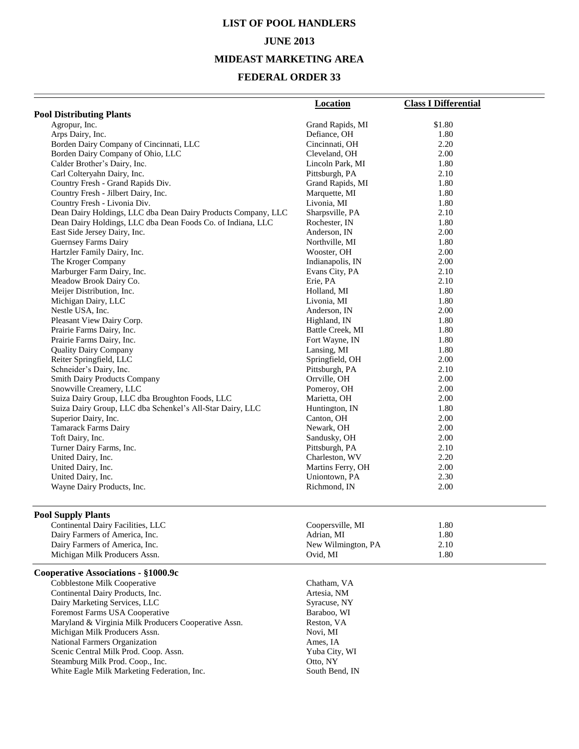# **LIST OF POOL HANDLERS JUNE 2013 MIDEAST MARKETING AREA**

|                                                                        | <b>Location</b>             | <b>Class I Differential</b> |
|------------------------------------------------------------------------|-----------------------------|-----------------------------|
| <b>Pool Distributing Plants</b>                                        |                             |                             |
| Agropur, Inc.                                                          | Grand Rapids, MI            | \$1.80                      |
| Arps Dairy, Inc.                                                       | Defiance, OH                | 1.80                        |
| Borden Dairy Company of Cincinnati, LLC                                | Cincinnati, OH              | 2.20                        |
| Borden Dairy Company of Ohio, LLC                                      | Cleveland, OH               | 2.00                        |
| Calder Brother's Dairy, Inc.                                           | Lincoln Park, MI            | 1.80                        |
| Carl Colteryahn Dairy, Inc.                                            | Pittsburgh, PA              | 2.10                        |
| Country Fresh - Grand Rapids Div.                                      | Grand Rapids, MI            | 1.80                        |
| Country Fresh - Jilbert Dairy, Inc.                                    | Marquette, MI               | 1.80                        |
| Country Fresh - Livonia Div.                                           | Livonia, MI                 | 1.80                        |
| Dean Dairy Holdings, LLC dba Dean Dairy Products Company, LLC          | Sharpsville, PA             | 2.10                        |
| Dean Dairy Holdings, LLC dba Dean Foods Co. of Indiana, LLC            | Rochester, IN               | 1.80                        |
| East Side Jersey Dairy, Inc.                                           | Anderson, IN                | 2.00                        |
| Guernsey Farms Dairy                                                   | Northville, MI              | 1.80                        |
| Hartzler Family Dairy, Inc.                                            | Wooster, OH                 | 2.00                        |
| The Kroger Company                                                     | Indianapolis, IN            | 2.00                        |
| Marburger Farm Dairy, Inc.                                             | Evans City, PA              | 2.10                        |
| Meadow Brook Dairy Co.                                                 | Erie, PA                    | 2.10                        |
| Meijer Distribution, Inc.                                              | Holland, MI                 | 1.80                        |
| Michigan Dairy, LLC                                                    | Livonia, MI                 | 1.80                        |
| Nestle USA, Inc.                                                       | Anderson, IN                | 2.00                        |
| Pleasant View Dairy Corp.                                              | Highland, IN                | 1.80                        |
| Prairie Farms Dairy, Inc.                                              | Battle Creek, MI            | 1.80                        |
| Prairie Farms Dairy, Inc.                                              | Fort Wayne, IN              | 1.80                        |
| <b>Quality Dairy Company</b>                                           | Lansing, MI                 | 1.80                        |
| Reiter Springfield, LLC                                                | Springfield, OH             | 2.00                        |
| Schneider's Dairy, Inc.                                                | Pittsburgh, PA              | 2.10                        |
| Smith Dairy Products Company                                           | Orrville, OH                | 2.00                        |
| Snowville Creamery, LLC                                                | Pomeroy, OH                 | 2.00                        |
| Suiza Dairy Group, LLC dba Broughton Foods, LLC                        | Marietta, OH                | 2.00                        |
| Suiza Dairy Group, LLC dba Schenkel's All-Star Dairy, LLC              | Huntington, IN              | 1.80                        |
| Superior Dairy, Inc.                                                   | Canton, OH                  | 2.00                        |
| <b>Tamarack Farms Dairy</b>                                            | Newark, OH                  | 2.00                        |
| Toft Dairy, Inc.                                                       | Sandusky, OH                | 2.00                        |
| Turner Dairy Farms, Inc.                                               | Pittsburgh, PA              | 2.10                        |
| United Dairy, Inc.                                                     | Charleston, WV              | 2.20                        |
| United Dairy, Inc.                                                     | Martins Ferry, OH           | 2.00                        |
| United Dairy, Inc.                                                     | Uniontown, PA               | 2.30                        |
| Wayne Dairy Products, Inc.                                             | Richmond, IN                | 2.00                        |
| <b>Pool Supply Plants</b>                                              |                             |                             |
| Continental Dairy Facilities, LLC                                      | Coopersville, MI            | 1.80                        |
| Dairy Farmers of America, Inc.                                         | Adrian, MI                  | 1.80                        |
| Dairy Farmers of America, Inc.                                         | New Wilmington, PA          | 2.10                        |
| Michigan Milk Producers Assn.                                          | Ovid, MI                    | 1.80                        |
| Cooperative Associations - §1000.9c<br>Cobblestone Milk Cooperative    | Chatham, VA                 |                             |
|                                                                        |                             |                             |
| Continental Dairy Products, Inc.<br>Dairy Marketing Services, LLC      | Artesia, NM<br>Syracuse, NY |                             |
| Foremost Farms USA Cooperative                                         | Baraboo, WI                 |                             |
| Maryland & Virginia Milk Producers Cooperative Assn.                   | Reston, VA                  |                             |
| Michigan Milk Producers Assn.                                          |                             |                             |
|                                                                        | Novi, MI                    |                             |
| National Farmers Organization<br>Scenic Central Milk Prod. Coop. Assn. | Ames, IA<br>Yuba City, WI   |                             |
| Steamburg Milk Prod. Coop., Inc.                                       | Otto, NY                    |                             |
| White Eagle Milk Marketing Federation, Inc.                            | South Bend, IN              |                             |
|                                                                        |                             |                             |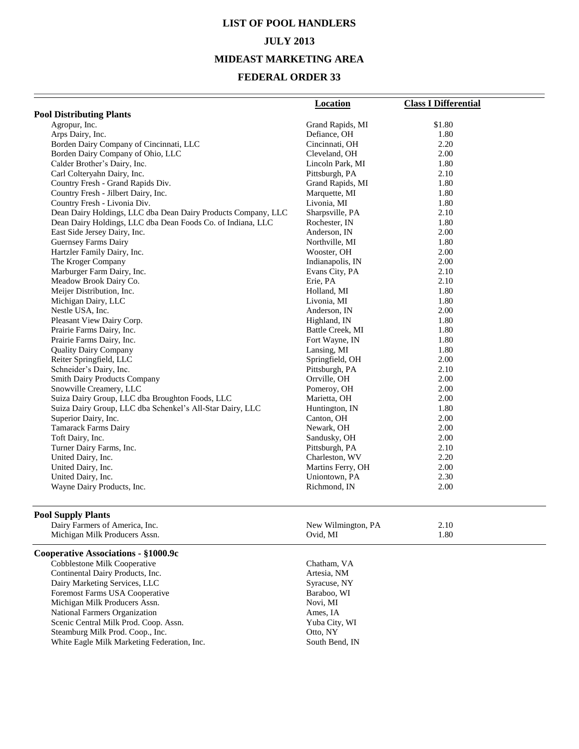# **LIST OF POOL HANDLERS JULY 2013 MIDEAST MARKETING AREA**

|                                                               | <b>Location</b>                     | <b>Class I Differential</b> |
|---------------------------------------------------------------|-------------------------------------|-----------------------------|
| <b>Pool Distributing Plants</b>                               |                                     |                             |
| Agropur, Inc.                                                 | Grand Rapids, MI                    | \$1.80                      |
| Arps Dairy, Inc.                                              | Defiance, OH                        | 1.80                        |
| Borden Dairy Company of Cincinnati, LLC                       | Cincinnati, OH                      | 2.20                        |
| Borden Dairy Company of Ohio, LLC                             | Cleveland, OH                       | 2.00                        |
| Calder Brother's Dairy, Inc.                                  | Lincoln Park, MI                    | 1.80                        |
| Carl Colteryahn Dairy, Inc.                                   | Pittsburgh, PA                      | 2.10                        |
| Country Fresh - Grand Rapids Div.                             | Grand Rapids, MI                    | 1.80                        |
| Country Fresh - Jilbert Dairy, Inc.                           | Marquette, MI                       | 1.80                        |
| Country Fresh - Livonia Div.                                  | Livonia, MI                         | 1.80                        |
| Dean Dairy Holdings, LLC dba Dean Dairy Products Company, LLC | Sharpsville, PA                     | 2.10                        |
| Dean Dairy Holdings, LLC dba Dean Foods Co. of Indiana, LLC   | Rochester, IN                       | 1.80                        |
| East Side Jersey Dairy, Inc.                                  | Anderson, IN                        | 2.00                        |
| <b>Guernsey Farms Dairy</b>                                   | Northville, MI                      | 1.80                        |
| Hartzler Family Dairy, Inc.                                   | Wooster, OH                         | 2.00                        |
| The Kroger Company                                            | Indianapolis, IN                    | 2.00                        |
| Marburger Farm Dairy, Inc.                                    | Evans City, PA                      | 2.10                        |
| Meadow Brook Dairy Co.                                        | Erie, PA                            | 2.10                        |
| Meijer Distribution, Inc.                                     | Holland, MI                         | 1.80                        |
| Michigan Dairy, LLC                                           | Livonia, MI                         | 1.80                        |
| Nestle USA, Inc.                                              | Anderson, IN                        | 2.00                        |
| Pleasant View Dairy Corp.                                     | Highland, IN                        | 1.80                        |
| Prairie Farms Dairy, Inc.                                     | Battle Creek, MI                    | 1.80                        |
| Prairie Farms Dairy, Inc.                                     | Fort Wayne, IN                      | 1.80                        |
| <b>Quality Dairy Company</b>                                  | Lansing, MI                         | 1.80                        |
| Reiter Springfield, LLC                                       | Springfield, OH                     | 2.00                        |
| Schneider's Dairy, Inc.                                       | Pittsburgh, PA                      | 2.10                        |
| <b>Smith Dairy Products Company</b>                           | Orrville, OH                        | 2.00                        |
| Snowville Creamery, LLC                                       | Pomeroy, OH                         | 2.00                        |
| Suiza Dairy Group, LLC dba Broughton Foods, LLC               | Marietta, OH                        | 2.00                        |
| Suiza Dairy Group, LLC dba Schenkel's All-Star Dairy, LLC     | Huntington, IN                      | 1.80                        |
| Superior Dairy, Inc.                                          | Canton, OH                          | 2.00                        |
| <b>Tamarack Farms Dairy</b>                                   | Newark, OH                          | 2.00                        |
| Toft Dairy, Inc.                                              | Sandusky, OH                        | 2.00<br>2.10                |
| Turner Dairy Farms, Inc.                                      | Pittsburgh, PA                      |                             |
| United Dairy, Inc.<br>United Dairy, Inc.                      | Charleston, WV<br>Martins Ferry, OH | 2.20<br>2.00                |
| United Dairy, Inc.                                            | Uniontown, PA                       | 2.30                        |
| Wayne Dairy Products, Inc.                                    | Richmond, IN                        | 2.00                        |
|                                                               |                                     |                             |
| <b>Pool Supply Plants</b>                                     |                                     |                             |
| Dairy Farmers of America, Inc.                                | New Wilmington, PA                  | 2.10                        |
| Michigan Milk Producers Assn.                                 | Ovid, MI                            | 1.80                        |
| Cooperative Associations - §1000.9c                           |                                     |                             |
| Cobblestone Milk Cooperative                                  | Chatham, VA                         |                             |
| Continental Dairy Products, Inc.                              | Artesia, NM                         |                             |
| Dairy Marketing Services, LLC                                 | Syracuse, NY                        |                             |
| Foremost Farms USA Cooperative                                | Baraboo, WI                         |                             |
| Michigan Milk Producers Assn.                                 | Novi, MI                            |                             |
| National Farmers Organization                                 | Ames, IA                            |                             |
| Scenic Central Milk Prod. Coop. Assn.                         | Yuba City, WI                       |                             |
| Steamburg Milk Prod. Coop., Inc.                              | Otto, NY                            |                             |
| White Eagle Milk Marketing Federation, Inc.                   | South Bend, IN                      |                             |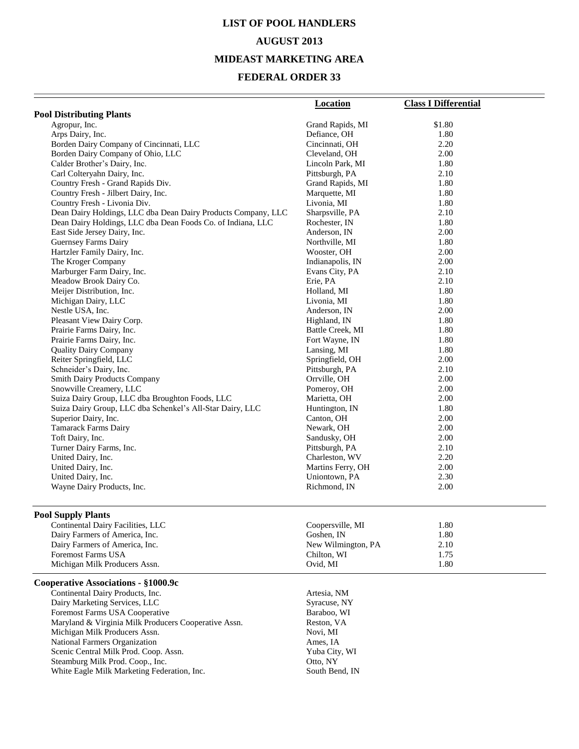# **LIST OF POOL HANDLERS AUGUST 2013**

## **MIDEAST MARKETING AREA**

|                                                               | <b>Location</b>                 | <b>Class I Differential</b> |
|---------------------------------------------------------------|---------------------------------|-----------------------------|
| <b>Pool Distributing Plants</b>                               |                                 |                             |
| Agropur, Inc.                                                 | Grand Rapids, MI                | \$1.80                      |
| Arps Dairy, Inc.                                              | Defiance, OH                    | 1.80                        |
| Borden Dairy Company of Cincinnati, LLC                       | Cincinnati, OH                  | 2.20                        |
| Borden Dairy Company of Ohio, LLC                             | Cleveland, OH                   | 2.00                        |
| Calder Brother's Dairy, Inc.                                  | Lincoln Park, MI                | 1.80                        |
| Carl Colteryahn Dairy, Inc.                                   | Pittsburgh, PA                  | 2.10                        |
| Country Fresh - Grand Rapids Div.                             | Grand Rapids, MI                | 1.80                        |
| Country Fresh - Jilbert Dairy, Inc.                           | Marquette, MI                   | 1.80                        |
| Country Fresh - Livonia Div.                                  | Livonia, MI                     | 1.80                        |
| Dean Dairy Holdings, LLC dba Dean Dairy Products Company, LLC | Sharpsville, PA                 | 2.10                        |
| Dean Dairy Holdings, LLC dba Dean Foods Co. of Indiana, LLC   | Rochester, IN                   | 1.80                        |
| East Side Jersey Dairy, Inc.                                  | Anderson, IN                    | 2.00                        |
| <b>Guernsey Farms Dairy</b>                                   | Northville, MI                  | 1.80<br>2.00                |
| Hartzler Family Dairy, Inc.<br>The Kroger Company             | Wooster, OH<br>Indianapolis, IN | 2.00                        |
| Marburger Farm Dairy, Inc.                                    | Evans City, PA                  | 2.10                        |
| Meadow Brook Dairy Co.                                        | Erie, PA                        | 2.10                        |
| Meijer Distribution, Inc.                                     | Holland, MI                     | 1.80                        |
| Michigan Dairy, LLC                                           | Livonia, MI                     | 1.80                        |
| Nestle USA, Inc.                                              | Anderson, IN                    | 2.00                        |
| Pleasant View Dairy Corp.                                     | Highland, IN                    | 1.80                        |
| Prairie Farms Dairy, Inc.                                     | Battle Creek, MI                | 1.80                        |
| Prairie Farms Dairy, Inc.                                     | Fort Wayne, IN                  | 1.80                        |
| <b>Quality Dairy Company</b>                                  | Lansing, MI                     | 1.80                        |
| Reiter Springfield, LLC                                       | Springfield, OH                 | 2.00                        |
| Schneider's Dairy, Inc.                                       | Pittsburgh, PA                  | 2.10                        |
| <b>Smith Dairy Products Company</b>                           | Orrville, OH                    | 2.00                        |
| Snowville Creamery, LLC                                       | Pomeroy, OH                     | 2.00                        |
| Suiza Dairy Group, LLC dba Broughton Foods, LLC               | Marietta, OH                    | 2.00                        |
| Suiza Dairy Group, LLC dba Schenkel's All-Star Dairy, LLC     | Huntington, IN                  | 1.80                        |
| Superior Dairy, Inc.                                          | Canton, OH                      | 2.00                        |
| <b>Tamarack Farms Dairy</b>                                   | Newark, OH                      | 2.00                        |
| Toft Dairy, Inc.                                              | Sandusky, OH                    | 2.00                        |
| Turner Dairy Farms, Inc.                                      | Pittsburgh, PA                  | 2.10                        |
| United Dairy, Inc.                                            | Charleston, WV                  | 2.20                        |
| United Dairy, Inc.                                            | Martins Ferry, OH               | 2.00                        |
| United Dairy, Inc.                                            | Uniontown, PA                   | 2.30                        |
| Wayne Dairy Products, Inc.                                    | Richmond, IN                    | 2.00                        |
| <b>Pool Supply Plants</b>                                     |                                 |                             |
| Continental Dairy Facilities, LLC                             | Coopersville, MI                | 1.80                        |
| Dairy Farmers of America, Inc.                                | Goshen, IN                      | 1.80                        |
| Dairy Farmers of America, Inc.                                | New Wilmington, PA              | 2.10                        |
| <b>Foremost Farms USA</b>                                     | Chilton, WI                     | 1.75                        |
| Michigan Milk Producers Assn.                                 | Ovid, MI                        | 1.80                        |
| Cooperative Associations - §1000.9c                           |                                 |                             |
| Continental Dairy Products, Inc.                              | Artesia, NM                     |                             |
| Dairy Marketing Services, LLC                                 | Syracuse, NY                    |                             |
| Foremost Farms USA Cooperative                                | Baraboo, WI                     |                             |
| Maryland & Virginia Milk Producers Cooperative Assn.          | Reston, VA                      |                             |
| Michigan Milk Producers Assn.                                 | Novi, MI                        |                             |
| National Farmers Organization                                 | Ames, IA                        |                             |
| Scenic Central Milk Prod. Coop. Assn.                         | Yuba City, WI                   |                             |
| Steamburg Milk Prod. Coop., Inc.                              | Otto, NY                        |                             |
| White Eagle Milk Marketing Federation, Inc.                   | South Bend, IN                  |                             |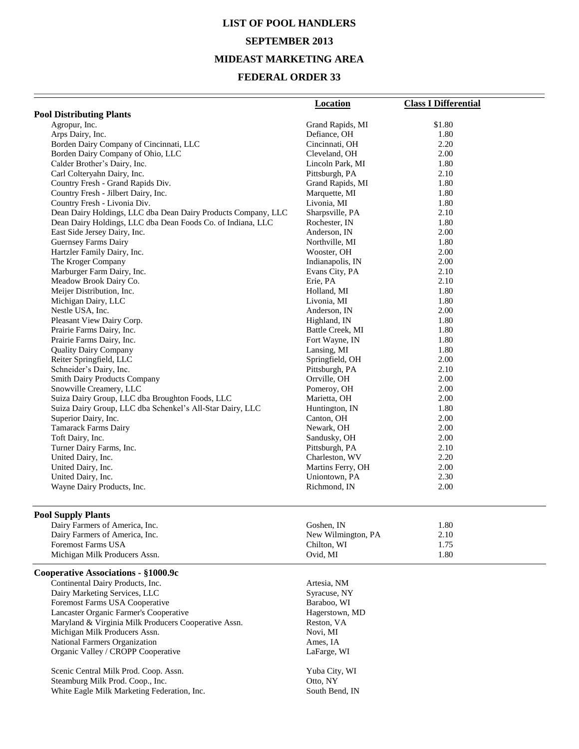# **LIST OF POOL HANDLERS SEPTEMBER 2013 MIDEAST MARKETING AREA**

| <b>Pool Distributing Plants</b>                               | <b>Location</b><br>Grand Rapids, MI | <b>Class I Differential</b><br>\$1.80 |
|---------------------------------------------------------------|-------------------------------------|---------------------------------------|
|                                                               |                                     |                                       |
| Arps Dairy, Inc.                                              |                                     |                                       |
| Borden Dairy Company of Cincinnati, LLC                       | Cincinnati, OH                      | 2.20                                  |
| Borden Dairy Company of Ohio, LLC                             | Cleveland, OH                       | 2.00                                  |
| Calder Brother's Dairy, Inc.                                  | Lincoln Park, MI                    | 1.80                                  |
| Carl Colteryahn Dairy, Inc.                                   | Pittsburgh, PA                      | 2.10                                  |
| Country Fresh - Grand Rapids Div.                             | Grand Rapids, MI                    | 1.80                                  |
| Country Fresh - Jilbert Dairy, Inc.                           | Marquette, MI                       | 1.80                                  |
| Country Fresh - Livonia Div.                                  | Livonia, MI                         | 1.80                                  |
| Dean Dairy Holdings, LLC dba Dean Dairy Products Company, LLC | Sharpsville, PA                     | 2.10                                  |
| Dean Dairy Holdings, LLC dba Dean Foods Co. of Indiana, LLC   | Rochester, IN                       | 1.80                                  |
| East Side Jersey Dairy, Inc.                                  | Anderson, IN                        | 2.00                                  |
| Guernsey Farms Dairy                                          | Northville, MI                      | 1.80                                  |
| Hartzler Family Dairy, Inc.                                   | Wooster, OH                         | 2.00                                  |
| The Kroger Company                                            | Indianapolis, IN                    | 2.00                                  |
| Marburger Farm Dairy, Inc.                                    | Evans City, PA                      | 2.10                                  |
| Meadow Brook Dairy Co.                                        | Erie, PA                            | 2.10                                  |
| Meijer Distribution, Inc.                                     | Holland, MI                         | 1.80                                  |
| Michigan Dairy, LLC                                           | Livonia, MI                         | 1.80                                  |
| Nestle USA, Inc.                                              | Anderson, IN                        | 2.00                                  |
| Pleasant View Dairy Corp.                                     | Highland, IN                        | 1.80                                  |
| Prairie Farms Dairy, Inc.                                     | Battle Creek, MI                    | 1.80                                  |
| Prairie Farms Dairy, Inc.                                     | Fort Wayne, IN                      | 1.80                                  |
| <b>Quality Dairy Company</b>                                  | Lansing, MI                         | 1.80                                  |
| Reiter Springfield, LLC                                       | Springfield, OH                     | 2.00                                  |
| Schneider's Dairy, Inc.                                       | Pittsburgh, PA                      | 2.10                                  |
| <b>Smith Dairy Products Company</b>                           | Orrville, OH                        | 2.00                                  |
| Snowville Creamery, LLC                                       | Pomeroy, OH                         | 2.00                                  |
| Suiza Dairy Group, LLC dba Broughton Foods, LLC               | Marietta, OH                        | 2.00                                  |
| Suiza Dairy Group, LLC dba Schenkel's All-Star Dairy, LLC     | Huntington, IN                      | 1.80                                  |
| Superior Dairy, Inc.                                          | Canton, OH                          | 2.00                                  |
| Tamarack Farms Dairy                                          | Newark, OH                          | 2.00                                  |
| Toft Dairy, Inc.                                              | Sandusky, OH                        | 2.00                                  |
| Turner Dairy Farms, Inc.                                      | Pittsburgh, PA                      | 2.10                                  |
| United Dairy, Inc.                                            | Charleston, WV                      | 2.20                                  |
| United Dairy, Inc.                                            | Martins Ferry, OH                   | 2.00                                  |
| United Dairy, Inc.                                            | Uniontown, PA                       | 2.30                                  |
| Wayne Dairy Products, Inc.                                    | Richmond, IN                        | 2.00                                  |
| <b>Pool Supply Plants</b>                                     |                                     |                                       |
| Dairy Farmers of America, Inc.                                | Goshen, IN                          | 1.80                                  |
| Dairy Farmers of America, Inc.                                | New Wilmington, PA                  | 2.10                                  |
| <b>Foremost Farms USA</b>                                     | Chilton, WI                         | 1.75                                  |
| Michigan Milk Producers Assn.                                 | Ovid, MI                            | 1.80                                  |
| Cooperative Associations - §1000.9c                           |                                     |                                       |
| Continental Dairy Products, Inc.                              | Artesia, NM                         |                                       |
| Dairy Marketing Services, LLC                                 | Syracuse, NY                        |                                       |
| Foremost Farms USA Cooperative                                | Baraboo, WI                         |                                       |
| Lancaster Organic Farmer's Cooperative                        | Hagerstown, MD                      |                                       |
| Maryland & Virginia Milk Producers Cooperative Assn.          | Reston, VA                          |                                       |
| Michigan Milk Producers Assn.                                 | Novi, MI                            |                                       |
| National Farmers Organization                                 | Ames, IA                            |                                       |
| Organic Valley / CROPP Cooperative                            | LaFarge, WI                         |                                       |
| Scenic Central Milk Prod. Coop. Assn.                         | Yuba City, WI                       |                                       |
| Steamburg Milk Prod. Coop., Inc.                              | Otto, NY                            |                                       |
| White Eagle Milk Marketing Federation, Inc.                   | South Bend, IN                      |                                       |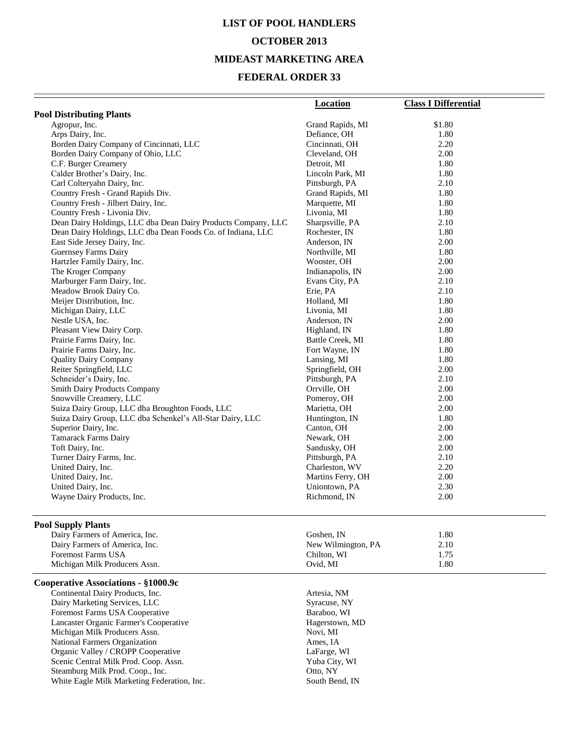# **LIST OF POOL HANDLERS OCTOBER 2013 MIDEAST MARKETING AREA**

|                                                               | <b>Location</b>    | <b>Class I Differential</b> |
|---------------------------------------------------------------|--------------------|-----------------------------|
| <b>Pool Distributing Plants</b>                               |                    |                             |
| Agropur, Inc.                                                 | Grand Rapids, MI   | \$1.80                      |
| Arps Dairy, Inc.                                              | Defiance, OH       | 1.80                        |
| Borden Dairy Company of Cincinnati, LLC                       | Cincinnati, OH     | 2.20                        |
| Borden Dairy Company of Ohio, LLC                             | Cleveland, OH      | 2.00                        |
| C.F. Burger Creamery                                          | Detroit, MI        | 1.80                        |
| Calder Brother's Dairy, Inc.                                  | Lincoln Park, MI   | 1.80                        |
| Carl Colteryahn Dairy, Inc.                                   | Pittsburgh, PA     | 2.10                        |
| Country Fresh - Grand Rapids Div.                             | Grand Rapids, MI   | 1.80                        |
| Country Fresh - Jilbert Dairy, Inc.                           | Marquette, MI      | 1.80                        |
| Country Fresh - Livonia Div.                                  | Livonia, MI        | 1.80                        |
| Dean Dairy Holdings, LLC dba Dean Dairy Products Company, LLC | Sharpsville, PA    | 2.10                        |
| Dean Dairy Holdings, LLC dba Dean Foods Co. of Indiana, LLC   | Rochester, IN      | 1.80                        |
| East Side Jersey Dairy, Inc.                                  | Anderson, IN       | 2.00                        |
| Guernsey Farms Dairy                                          | Northville, MI     | 1.80                        |
| Hartzler Family Dairy, Inc.                                   | Wooster, OH        | 2.00                        |
| The Kroger Company                                            | Indianapolis, IN   | 2.00                        |
| Marburger Farm Dairy, Inc.                                    | Evans City, PA     | 2.10                        |
| Meadow Brook Dairy Co.                                        | Erie, PA           | 2.10                        |
| Meijer Distribution, Inc.                                     | Holland, MI        | 1.80                        |
| Michigan Dairy, LLC                                           | Livonia, MI        | 1.80                        |
| Nestle USA, Inc.                                              | Anderson, IN       | 2.00                        |
| Pleasant View Dairy Corp.                                     | Highland, IN       | 1.80                        |
| Prairie Farms Dairy, Inc.                                     | Battle Creek, MI   | 1.80                        |
| Prairie Farms Dairy, Inc.                                     | Fort Wayne, IN     | 1.80                        |
| <b>Quality Dairy Company</b>                                  | Lansing, MI        | 1.80                        |
| Reiter Springfield, LLC                                       | Springfield, OH    | 2.00                        |
| Schneider's Dairy, Inc.                                       | Pittsburgh, PA     | 2.10                        |
| <b>Smith Dairy Products Company</b>                           | Orrville, OH       | 2.00                        |
| Snowville Creamery, LLC                                       | Pomeroy, OH        | 2.00                        |
| Suiza Dairy Group, LLC dba Broughton Foods, LLC               | Marietta, OH       | 2.00                        |
| Suiza Dairy Group, LLC dba Schenkel's All-Star Dairy, LLC     | Huntington, IN     | 1.80                        |
| Superior Dairy, Inc.                                          | Canton, OH         | 2.00                        |
| <b>Tamarack Farms Dairy</b>                                   | Newark, OH         | 2.00                        |
| Toft Dairy, Inc.                                              | Sandusky, OH       | 2.00                        |
| Turner Dairy Farms, Inc.                                      | Pittsburgh, PA     | 2.10                        |
| United Dairy, Inc.                                            | Charleston, WV     | 2.20                        |
| United Dairy, Inc.                                            | Martins Ferry, OH  | 2.00                        |
| United Dairy, Inc.                                            | Uniontown, PA      | 2.30                        |
| Wayne Dairy Products, Inc.                                    | Richmond, IN       | 2.00                        |
| <b>Pool Supply Plants</b>                                     |                    |                             |
| Dairy Farmers of America, Inc.                                | Goshen, IN         | 1.80                        |
| Dairy Farmers of America, Inc.                                | New Wilmington, PA | 2.10                        |
| <b>Foremost Farms USA</b>                                     | Chilton, WI        | 1.75                        |
| Michigan Milk Producers Assn.                                 | Ovid, MI           | 1.80                        |
| Cooperative Associations - §1000.9c                           |                    |                             |
| Continental Dairy Products, Inc.                              | Artesia, NM        |                             |
| Dairy Marketing Services, LLC                                 | Syracuse, NY       |                             |
| Foremost Farms USA Cooperative                                | Baraboo, WI        |                             |
| Lancaster Organic Farmer's Cooperative                        | Hagerstown, MD     |                             |
| Michigan Milk Producers Assn.                                 | Novi, MI           |                             |
| National Farmers Organization                                 | Ames, IA           |                             |
| Organic Valley / CROPP Cooperative                            | LaFarge, WI        |                             |
| Scenic Central Milk Prod. Coop. Assn.                         | Yuba City, WI      |                             |
| Steamburg Milk Prod. Coop., Inc.                              | Otto, NY           |                             |
| White Eagle Milk Marketing Federation, Inc.                   | South Bend, IN     |                             |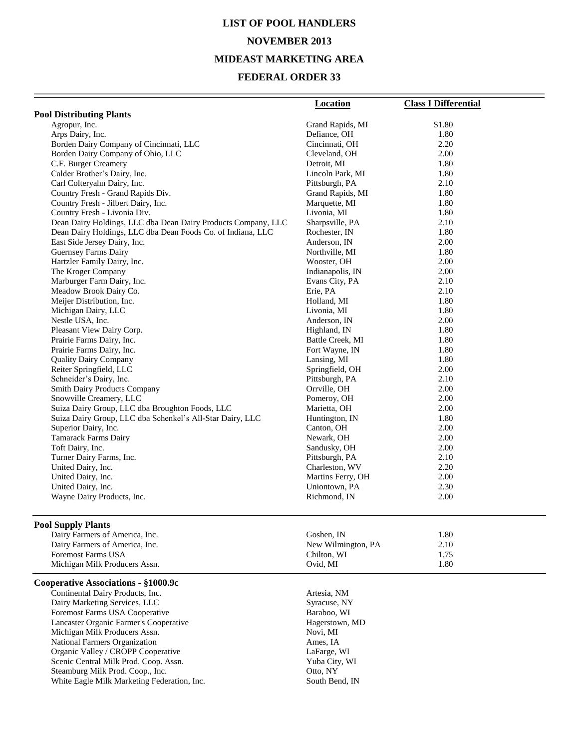# **LIST OF POOL HANDLERS NOVEMBER 2013 MIDEAST MARKETING AREA**

|                                                               | <b>Location</b>                  | <b>Class I Differential</b> |
|---------------------------------------------------------------|----------------------------------|-----------------------------|
| <b>Pool Distributing Plants</b>                               |                                  |                             |
| Agropur, Inc.                                                 | Grand Rapids, MI                 | \$1.80                      |
| Arps Dairy, Inc.                                              | Defiance, OH                     | 1.80                        |
| Borden Dairy Company of Cincinnati, LLC                       | Cincinnati, OH                   | 2.20                        |
| Borden Dairy Company of Ohio, LLC                             | Cleveland, OH                    | 2.00                        |
| C.F. Burger Creamery                                          | Detroit, MI                      | 1.80                        |
| Calder Brother's Dairy, Inc.                                  | Lincoln Park, MI                 | 1.80                        |
| Carl Colteryahn Dairy, Inc.                                   | Pittsburgh, PA                   | 2.10                        |
| Country Fresh - Grand Rapids Div.                             | Grand Rapids, MI                 | 1.80                        |
| Country Fresh - Jilbert Dairy, Inc.                           | Marquette, MI                    | 1.80                        |
| Country Fresh - Livonia Div.                                  | Livonia, MI                      | 1.80                        |
| Dean Dairy Holdings, LLC dba Dean Dairy Products Company, LLC | Sharpsville, PA                  | 2.10                        |
| Dean Dairy Holdings, LLC dba Dean Foods Co. of Indiana, LLC   | Rochester, IN                    | 1.80                        |
| East Side Jersey Dairy, Inc.                                  | Anderson, IN                     | 2.00                        |
| <b>Guernsey Farms Dairy</b>                                   | Northville, MI                   | 1.80                        |
| Hartzler Family Dairy, Inc.                                   | Wooster, OH                      | 2.00                        |
| The Kroger Company                                            | Indianapolis, IN                 | 2.00                        |
| Marburger Farm Dairy, Inc.                                    | Evans City, PA                   | 2.10                        |
| Meadow Brook Dairy Co.<br>Meijer Distribution, Inc.           | Erie, PA                         | 2.10                        |
|                                                               | Holland, MI<br>Livonia, MI       | 1.80<br>1.80                |
| Michigan Dairy, LLC<br>Nestle USA, Inc.                       | Anderson, IN                     | 2.00                        |
| Pleasant View Dairy Corp.                                     |                                  | 1.80                        |
| Prairie Farms Dairy, Inc.                                     | Highland, IN<br>Battle Creek, MI | 1.80                        |
| Prairie Farms Dairy, Inc.                                     | Fort Wayne, IN                   | 1.80                        |
| <b>Quality Dairy Company</b>                                  | Lansing, MI                      | 1.80                        |
| Reiter Springfield, LLC                                       | Springfield, OH                  | 2.00                        |
| Schneider's Dairy, Inc.                                       | Pittsburgh, PA                   | 2.10                        |
| <b>Smith Dairy Products Company</b>                           | Orrville, OH                     | 2.00                        |
| Snowville Creamery, LLC                                       | Pomeroy, OH                      | 2.00                        |
| Suiza Dairy Group, LLC dba Broughton Foods, LLC               | Marietta, OH                     | 2.00                        |
| Suiza Dairy Group, LLC dba Schenkel's All-Star Dairy, LLC     | Huntington, IN                   | 1.80                        |
| Superior Dairy, Inc.                                          | Canton, OH                       | 2.00                        |
| Tamarack Farms Dairy                                          | Newark, OH                       | 2.00                        |
| Toft Dairy, Inc.                                              | Sandusky, OH                     | 2.00                        |
| Turner Dairy Farms, Inc.                                      | Pittsburgh, PA                   | 2.10                        |
| United Dairy, Inc.                                            | Charleston, WV                   | 2.20                        |
| United Dairy, Inc.                                            | Martins Ferry, OH                | 2.00                        |
| United Dairy, Inc.                                            | Uniontown, PA                    | 2.30                        |
| Wayne Dairy Products, Inc.                                    | Richmond, IN                     | 2.00                        |
|                                                               |                                  |                             |
| <b>Pool Supply Plants</b>                                     |                                  |                             |
| Dairy Farmers of America, Inc.                                | Goshen, IN                       | 1.80                        |
| Dairy Farmers of America, Inc.                                | New Wilmington, PA               | 2.10                        |
| Foremost Farms USA                                            | Chilton, WI                      | 1.75                        |
| Michigan Milk Producers Assn.                                 | Ovid, MI                         | 1.80                        |
| Cooperative Associations - §1000.9c                           |                                  |                             |
| Continental Dairy Products, Inc.                              | Artesia, NM                      |                             |
| Dairy Marketing Services, LLC                                 | Syracuse, NY                     |                             |
| Foremost Farms USA Cooperative                                | Baraboo, WI                      |                             |
| Lancaster Organic Farmer's Cooperative                        | Hagerstown, MD                   |                             |
| Michigan Milk Producers Assn.                                 | Novi, MI                         |                             |
| National Farmers Organization                                 | Ames, IA                         |                             |
| Organic Valley / CROPP Cooperative                            | LaFarge, WI                      |                             |
| Scenic Central Milk Prod. Coop. Assn.                         | Yuba City, WI                    |                             |
| Steamburg Milk Prod. Coop., Inc.                              | Otto, NY                         |                             |
| White Eagle Milk Marketing Federation, Inc.                   | South Bend, IN                   |                             |